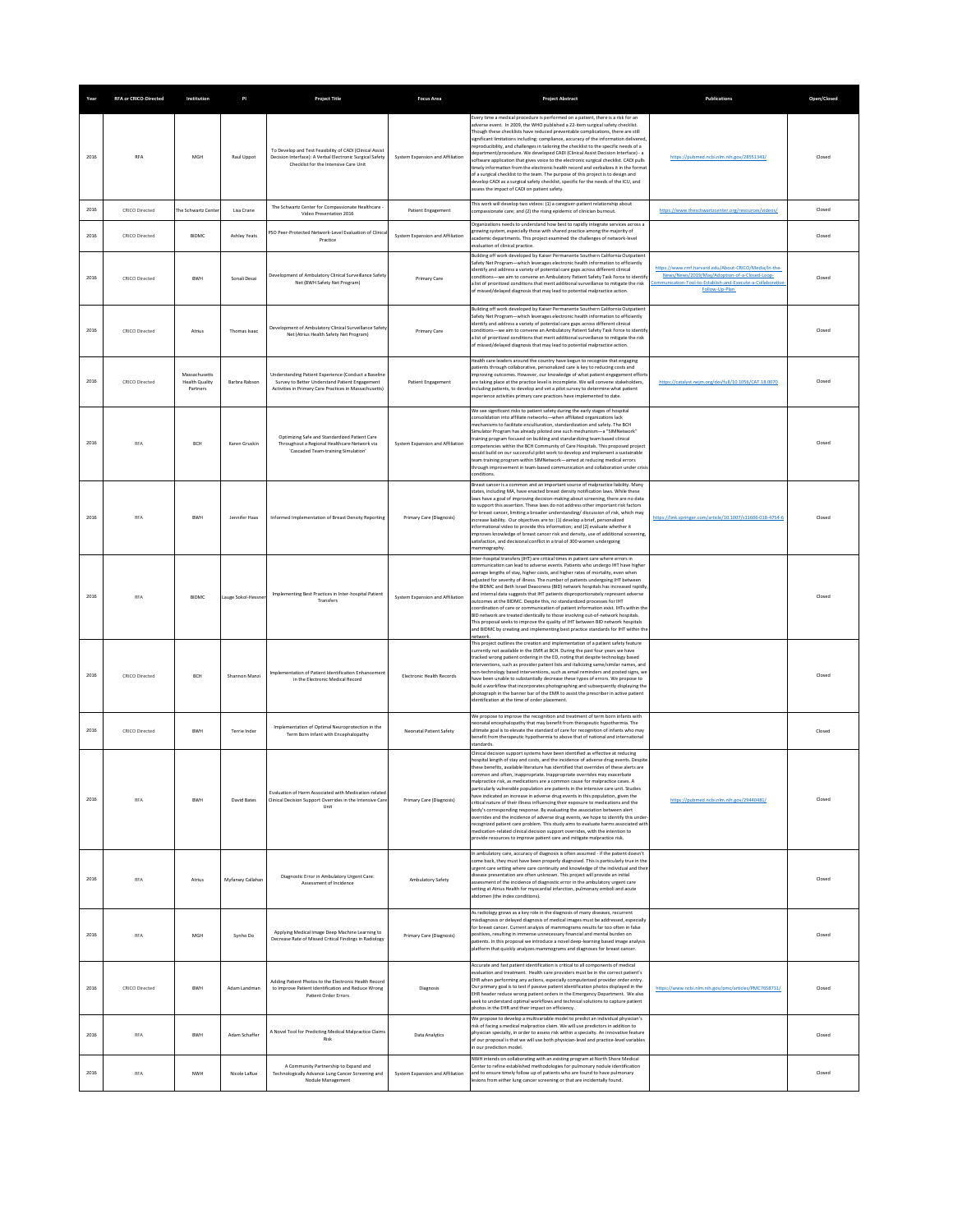|      | <b>RFA or CRICO-Directed</b> | Institution                                        | PI                  | <b>Project Title</b>                                                                                                                                             | <b>Focus Area</b>                | <b>Project Abstract</b>                                                                                                                                                                                                                                                                                                                                                                                                                                                                                                                                                                                                                                                                                                                                                                                                                                                                                                                                                                                                                                                                                           | Publications                                                                                                                                                                   | Open/Closed |
|------|------------------------------|----------------------------------------------------|---------------------|------------------------------------------------------------------------------------------------------------------------------------------------------------------|----------------------------------|-------------------------------------------------------------------------------------------------------------------------------------------------------------------------------------------------------------------------------------------------------------------------------------------------------------------------------------------------------------------------------------------------------------------------------------------------------------------------------------------------------------------------------------------------------------------------------------------------------------------------------------------------------------------------------------------------------------------------------------------------------------------------------------------------------------------------------------------------------------------------------------------------------------------------------------------------------------------------------------------------------------------------------------------------------------------------------------------------------------------|--------------------------------------------------------------------------------------------------------------------------------------------------------------------------------|-------------|
| 2016 | <b>RFA</b>                   | MGH                                                | Raul Uppot          | To Develop and Test Feasibility of CADI (Clinical Assist<br>Decision Interface): A Verbal Electronic Surgical Safety<br>Checklist for the Intensive Care Unit    | System Expansion and Affiliation | Every time a medical procedure is performed on a patient, there is a risk for an<br>dverse event. In 2009, the WHO published a 22-item surgical safety checklist.<br>Though these checklists have reduced preventable complications, there are still<br>significant limitations including: compliance, accuracy of the information delivered<br>reproducibility, and challenges in tailoring the checklist to the specific needs of a<br>department/procedure. We developed CADI (Clinical Assist Decision Interface) - a<br>software application that gives voice to the electronic surgical checklist. CADI pulls<br>imely information from the electronic health record and verbalizes it in the format<br>of a surgical checklist to the team. The purpose of this project is to design and<br>develop CADI as a surgical safety checklist, specific for the needs of the ICU, and<br>assess the impact of CADI on patient safety.                                                                                                                                                                            | https://pubmed.ncbi.nlm.nih.gov/28551343/                                                                                                                                      | Closed      |
| 2016 | CRICO Directed               | The Schwartz Cente                                 | Lisa Crane          | The Schwartz Center for Compassionate Healthcare<br>Video Presentation 2016                                                                                      | Patient Engagement               | This work will develop two videos: (1) a caregiver-patient relationship about<br>ompassionate care; and (2) the rising epidemic of clinician burnout.                                                                                                                                                                                                                                                                                                                                                                                                                                                                                                                                                                                                                                                                                                                                                                                                                                                                                                                                                             | https://www.theschwartzcenter.org/resources/videos/                                                                                                                            | Closed      |
| 2016 | CRICO Directed               | <b>BIDMC</b>                                       | <b>Ashley Yeats</b> | PSO Peer-Protected Network-Level Evaluation of Clinica<br>Practice                                                                                               | System Expansion and Affiliation | Organizations needs to understand how best to rapidly integrate services across a<br>trowing system, especially those with shared practice among the majority of<br>academic departments. This project examined the challenges of network-level<br>valuation of clinical practice                                                                                                                                                                                                                                                                                                                                                                                                                                                                                                                                                                                                                                                                                                                                                                                                                                 |                                                                                                                                                                                | Closed      |
| 2016 | <b>CRICO Directed</b>        | <b>BWH</b>                                         | Sonali Desai        | Development of Ambulatory Clinical Surveillance Safety<br>Net (BWH Safety Net Program)                                                                           | Primary Care                     | Building off work developed by Kaiser Permanente Southern California Outpatient<br>Safety Net Program-which leverages electronic health information to efficiently<br>dentify and address a variety of potential care gaps across different clinical<br>conditions-we aim to convene an Ambulatory Patient Safety Task Force to identif<br>Ist of prioritized conditions that merit additional surveillance to mitigate the risk<br>of missed/delayed diagnosis that may lead to potential malpractice action.                                                                                                                                                                                                                                                                                                                                                                                                                                                                                                                                                                                                    | https://www.rmf.harvard.edu/About-CRICO/Media/In-the-<br>News/News/2019/May/Adoption-of-a-Closed-Loop-<br>ication-Tool-to-Establish-and-Execute-a-Collaborat<br>Follow-Up-Plan | Closed      |
| 2016 | <b>CRICO Directed</b>        | Atrius                                             | Thomas Isaac        | Development of Ambulatory Clinical Surveillance Safety<br>Net (Atrius Health Safety Net Program)                                                                 | Primary Care                     | Building off work developed by Kaiser Permanente Southern California Outpatient<br>Safety Net Program-which leverages electronic health information to efficiently<br>identify and address a variety of potential care gaps across different clinical<br>onditions-we aim to convene an Ambulatory Patient Safety Task Force to identif<br>a list of prioritized conditions that merit additional surveillance to mitigate the risk<br>of missed/delayed diagnosis that may lead to potential malpractice action.                                                                                                                                                                                                                                                                                                                                                                                                                                                                                                                                                                                                 |                                                                                                                                                                                | Closed      |
| 2016 | CRICO Directed               | Massachusetts<br><b>Health Quality</b><br>Partners | Barbra Rabson       | Understanding Patient Experience (Conduct a Baseline<br>Survey to Better Understand Patient Engagement<br>Activities in Primary Care Practices in Massachusetts) | Patient Engagement               | Health care leaders around the country have begun to recognize that engaging<br>batients through collaborative, personalized care is key to reducing costs and<br>improving outcomes. However, our knowledge of what patient engagement effort:<br>are taking place at the practice level is incomplete. We will convene stakeholders,<br>including patients, to develop and vet a pilot survey to determine what patient<br>experience activities primary care practices have implemented to date.                                                                                                                                                                                                                                                                                                                                                                                                                                                                                                                                                                                                               | https://catalyst.nejm.org/doi/full/10.1056/CAT.18.0070                                                                                                                         | Closed      |
| 2016 | <b>RFA</b>                   | BCH                                                | Karen Gruskin       | Optimizing Safe and Standardized Patient Care<br>Throughout a Regional Healthcare Network via<br>'Cascaded Team-training Simulation'                             | System Expansion and Affiliation | We see significant risks to patient safety during the early stages of hospital<br>consolidation into affiliate networks-when affiliated organizations lack<br>mechanisms to facilitate enculturation, standardization and safety. The RCH<br>Simulator Program has already piloted one such mechanism-a "SIMNetwork"<br>training program focused on building and standardizing team based clinical<br>ompetencies within the BCH Community of Care Hospitals. This proposed project<br>vould build on our successful pilot work to develop and implement a sustainable<br>team training program within SIMNetwork-aimed at reducing medical errors<br>through improvement in team-based communication and collaboration under crisis<br>onditions                                                                                                                                                                                                                                                                                                                                                                 |                                                                                                                                                                                | Closed      |
| 2016 | <b>RFA</b>                   | BWH                                                | Jennifer Haas       | Informed Implementation of Breast Density Reporting                                                                                                              | Primary Care (Diagnosis)         | Breast cancer is a common and an important source of malpractice liability. Many<br>states, including MA, have enacted breast density notification laws. While these<br>aws have a goal of improving decision-making about screening, there are no data<br>to support this assertion. These laws do not address other important risk factors<br>for breast cancer. limiting a broader understanding/ discussion of risk, which may<br>increase liability. Our objectives are to: (1) develop a brief, personalized<br>informational video to provide this information: and (2) evaluate whether it<br>improves knowledge of breast cancer risk and density, use of additional screening<br>satisfaction, and decisional conflict in a trial of 300 women undergoing<br>nammography.                                                                                                                                                                                                                                                                                                                               | https://link.springer.com/article/10.1007/s11606-018-4754-6                                                                                                                    | Closed      |
| 2016 | <b>RFA</b>                   | <b>BIDMC</b>                                       | Lauge Sokol-Hessne  | Implementing Best Practices in Inter-hospital Patient<br>Transfers                                                                                               | System Expansion and Affiliation | Inter-hospital transfers (IHT) are critical times in patient care where errors in<br>ommunication can lead to adverse events. Patients who undergo IHT have higher<br>werage lengths of stay, higher costs, and higher rates of mortality, even when<br>adjusted for severity of illness. The number of patients undergoing IHT between<br>the BIDMC and Beth Israel Deaconess (BID) network hospitals has increased rapidly<br>and internal data suggests that IHT patients disproportionately represent adverse<br>butcomes at the BIDMC. Despite this, no standardized processes for IHT<br>coordination of care or communication of patient information exist. IHTs within the<br>BID network are treated identically to those involving out-of-network hospitals.<br>This proposal seeks to improve the quality of IHT between BID network hospitals<br>and BIDMC by creating and implementing best practice standards for IHT within the<br>network.                                                                                                                                                        |                                                                                                                                                                                | Closed      |
| 2016 | <b>CRICO Directed</b>        | BCH                                                | Shannon Manzi       | Implementation of Patient Identification Enhancemen<br>in the Electronic Medical Record                                                                          | Electronic Health Records        | This project outlines the creation and implementation of a patient safety feature<br>currently not available in the EMR at BCH. During the past four years we have<br>tracked wrong patient ordering in the ED, noting that despite technology based<br>interventions, such as provider patient lists and italicizing same/similar names, and<br>non-technology based interventions, such as email reminders and posted signs, we<br>have been unable to substantially decrease these types of errors. We propose to<br>build a workflow that incorporates photographing and subsequently displaying the<br>photograph in the banner bar of the EMR to assist the prescriber in active patient<br>identification at the time of order placement.                                                                                                                                                                                                                                                                                                                                                                  |                                                                                                                                                                                | Closed      |
| 2016 | <b>CRICO Directed</b>        | <b>BWH</b>                                         | Terrie Inder        | Implementation of Optimal Neuroprotection in the<br>Term Born Infant with Encephalopathy                                                                         | Neonatal Patient Safety          | We propose to improve the recognition and treatment of term born infants with<br>reonatal encephalopathy that may benefit from therapeutic hypothermia. The<br>ultimate goal is to elevate the standard of care for recognition of infants who may<br>benefit from therapeutic hypothermia to above that of national and international<br>standards                                                                                                                                                                                                                                                                                                                                                                                                                                                                                                                                                                                                                                                                                                                                                               |                                                                                                                                                                                | Closed      |
| 2016 | <b>RFA</b>                   | <b>BWH</b>                                         | <b>David Bates</b>  | Evaluation of Harm Associated with Medication-related<br>Clinical Decision Support Overrides in the Intensive Care<br>Unit                                       | Primary Care (Diagnosis)         | Clinical decision support systems have been identified as effective at reducing<br>hospital length of stay and costs, and the incidence of adverse drug events. Despite<br>these benefits, available literature has identified that overrides of these alerts are<br>common and often, inappropriate. Inappropriate overrides may exacerbate<br>maloractice risk, as medications are a common cause for maloractice cases. A<br>particularly vulnerable population are patients in the intensive care unit. Studies<br>have indicated an increase in adverse drug events in this population, given the<br>critical nature of their illness influencing their exposure to medications and the<br>body's corresponding response. By evaluating the association between alert<br>overrides and the incidence of adverse drug events, we hope to identify this under<br>ecognized patient care problem. This study aims to evaluate harms associated with<br>nedication-related clinical decision support overrides, with the intention to<br>rovide resources to improve patient care and mitigate malpractice risk. | https://pubmed.ncbi.nlm.nih.gov/29440481/                                                                                                                                      | Closed      |
| 2016 | <b>RFA</b>                   | Atrius                                             | Myfanwy Callahan    | Diagnostic Error in Ambulatory Urgent Care:<br>Assessment of Incidence                                                                                           | Ambulatory Safety                | In ambulatory care, accuracy of diagnosis is often assumed - if the patient doesn't<br>come back, they must have been properly diagnosed. This is particularly true in the<br>urgent care setting where care continuity and knowledge of the individual and their<br>disease presentation are often unknown. This project will provide an initial<br>assessment of the incidence of diagnostic error in the ambulatory urgent care<br>setting at Atrius Health for myocardial infarction, pulmonary emboli and acute<br>abdomen (the index conditions).                                                                                                                                                                                                                                                                                                                                                                                                                                                                                                                                                           |                                                                                                                                                                                | Closed      |
| 2016 | <b>RFA</b>                   | MGH                                                | Synho Do            | Applying Medical Image Deep Machine Learning to<br>Decrease Rate of Missed Critical Findings in Radiology                                                        | Primary Care (Diagnosis)         | As radiology grows as a key role in the diagnosis of many diseases, recurrent<br>nisdiagnosis or delayed diagnosis of medical images must be addressed, especially<br>for breast cancer. Current analysis of mammograms results far too often in false<br>positives, resulting in immense unnecessary financial and mental burden on<br>patients. In this proposal we introduce a novel deep-learning based image analysis<br>platform that quickly analyzes mammograms and diagnoses for breast cancer.                                                                                                                                                                                                                                                                                                                                                                                                                                                                                                                                                                                                          |                                                                                                                                                                                | Closed      |
| 2016 | <b>CRICO Directed</b>        | BWH                                                | Adam Landman        | Adding Patient Photos to the Electronic Health Record<br>to Improve Patient Identification and Reduce Wrong<br>Patient Order Errors                              | Diagnosis                        | Accurate and fast patient identification is critical to all components of medical<br>evaluation and treatment. Health care providers must be in the correct patient's<br>EHR when performing any actions, especially computerized provider order entry.<br>Our primary goal is to test if passive patient identification photos displayed in the<br>EHR header reduce wrong patient orders in the Emergency Department. We also<br>seek to understand optimal workflows and technical solutions to capture patient<br>photos in the EHR and their impact on efficiency.                                                                                                                                                                                                                                                                                                                                                                                                                                                                                                                                           | https://www.ncbi.nlm.nih.gov/pmc/articles/PMC7658731/                                                                                                                          | Closed      |
| 2016 | <b>RFA</b>                   | BWH                                                | Adam Schaffer       | A Novel Tool for Predicting Medical Malpractice Claims<br>Risk                                                                                                   | Data Analytics                   | We propose to develop a multivariable model to predict an individual physician's<br>risk of facing a medical malpractice claim. We will use predictors in addition to<br>physician specialty, in order to assess risk within a specialty. An innovative feature<br>of our proposal is that we will use both physician-level and practice-level variables<br>in our prediction model.                                                                                                                                                                                                                                                                                                                                                                                                                                                                                                                                                                                                                                                                                                                              |                                                                                                                                                                                | Closed      |
| 2016 | <b>RFA</b>                   | <b>NWH</b>                                         | Nicole LaRue        | A Community Partnership to Expand and<br>Technologically Advance Lung Cancer Screening and<br>Nodule Management                                                  | System Expansion and Affiliation | NWH intends on collaborating with an existing program at North Shore Medical<br>Center to refine established methodologies for pulmonary nodule identification<br>and to ensure timely follow up of patients who are found to have pulmonary<br>esions from either lung cancer screening or that are incidentally found.                                                                                                                                                                                                                                                                                                                                                                                                                                                                                                                                                                                                                                                                                                                                                                                          |                                                                                                                                                                                | Closed      |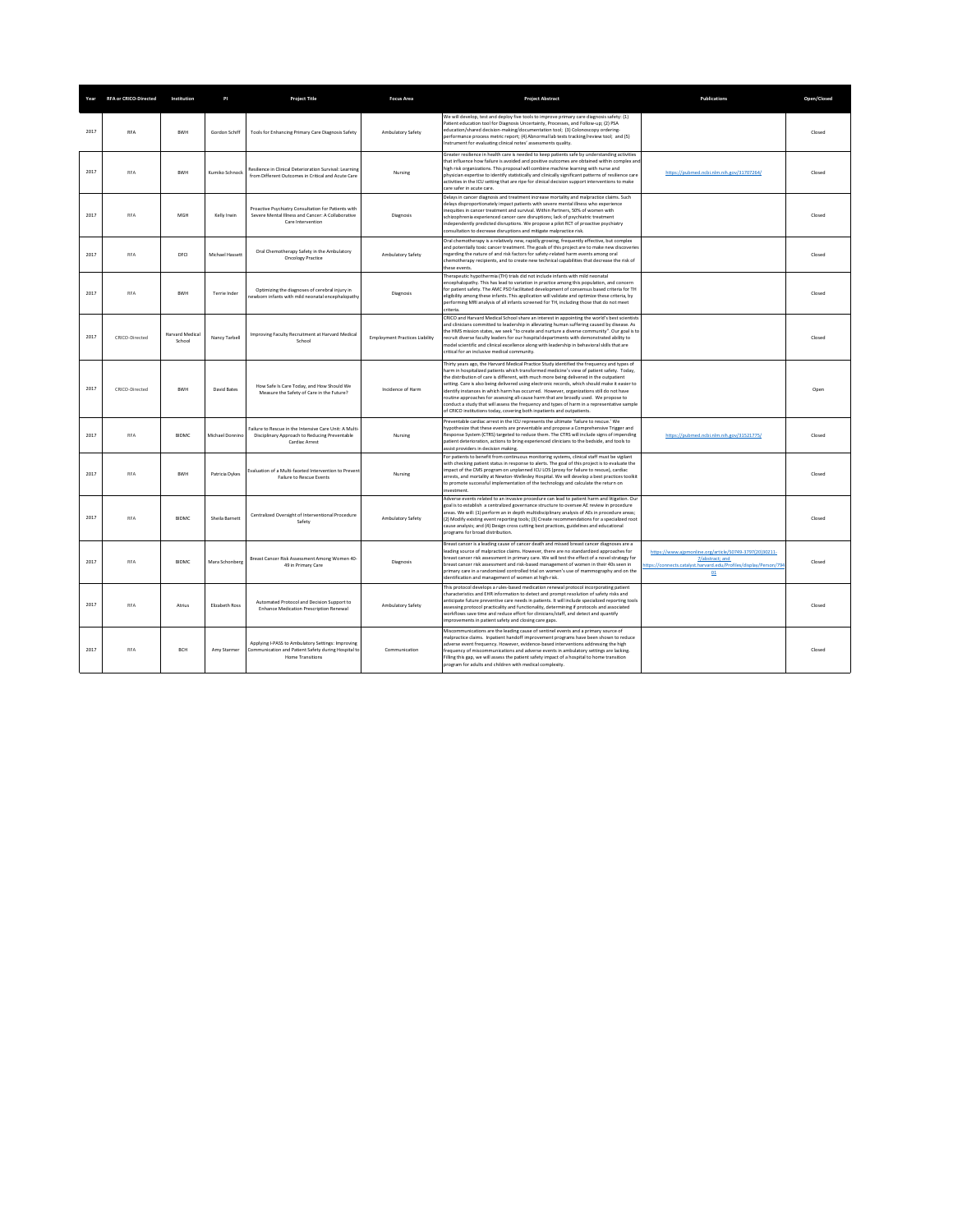|      | Year RFA or CRICO-Directed | Institution                      | PI              | <b>Project Title</b>                                                                                                          | <b>Focus Area</b>                     | <b>Project Abstract</b>                                                                                                                                                                                                                                                                                                                                                                                                                                                                                                                                                                                                                                                                                                                        | <b>Publications</b>                                                                                                                                  | Open/Closed |
|------|----------------------------|----------------------------------|-----------------|-------------------------------------------------------------------------------------------------------------------------------|---------------------------------------|------------------------------------------------------------------------------------------------------------------------------------------------------------------------------------------------------------------------------------------------------------------------------------------------------------------------------------------------------------------------------------------------------------------------------------------------------------------------------------------------------------------------------------------------------------------------------------------------------------------------------------------------------------------------------------------------------------------------------------------------|------------------------------------------------------------------------------------------------------------------------------------------------------|-------------|
| 2017 | RFA                        | <b>RWH</b>                       | Gordon Schiff   | Tools for Enhancing Primary Care Diagnosis Safety                                                                             | Ambulatory Safety                     | We will develop, test and deploy five tools to improve primary care diagnosis safety: (1)<br>Patient education tool for Diagnosis Uncertainty, Processes, and Follow-up; (2) PSA<br>education/shared decision-making/documentation tool: (3) Colonoscopy ordering-<br>performance process metric report; (4) Abnormal lab tests tracking/review tool; and (5)<br>Instrument for evaluating clinical notes' assessments quality.                                                                                                                                                                                                                                                                                                                |                                                                                                                                                      | Closed      |
| 2017 | RFA                        | BWH                              | Kumiko Schnock  | Resilience in Clinical Deterioration Survival: Learning<br>from Different Outcomes in Critical and Acute Care                 | Nursing                               | Greater resilience in health care is needed to keep patients safe by understanding activities<br>that influence how failure is avoided and positive outcomes are obtained within complex an<br>high risk organizations. This proposal will combine machine learning with nurse and<br>physician expertise to identify statistically and clinically significant patterns of resilience care<br>activities in the ICU setting that are ripe for clinical decision support interventions to make<br>care safer in acute care.                                                                                                                                                                                                                     | https://pubmed.ncbi.nlm.nih.gov/31707264/                                                                                                            | Closed      |
| 2017 | RFA                        | MGH                              | Kelly Irwin     | Proactive Psychiatry Consultation for Patients with<br>Severe Mental Illness and Cancer: A Collaborative<br>Care Intervention | Diagnosis                             | Delays in cancer diagnosis and treatment increase mortality and malpractice claims. Such<br>delays disproportionately impact patients with severe mental illness who experience<br>nequities in cancer treatment and survival. Within Partners, 50% of women with<br>schizophrenia experienced cancer care disruptions; lack of psychiatric treatment<br>independently predicted disruptions. We propose a pilot RCT of proactive psychiatry<br>consultation to decrease disruptions and mitigate malpractice risk.                                                                                                                                                                                                                            |                                                                                                                                                      | Closed      |
| 2017 | RFA                        | DECI                             | Michael Hassett | Oral Chemotherapy Safety in the Ambulatory<br><b>Oncology Practice</b>                                                        | Ambulatory Safety                     | Oral chemotherapy is a relatively new, rapidly growing, frequently effective, but complex<br>ind potentially toxic cancer treatment. The goals of this project are to make new discoveries<br>regarding the nature of and risk factors for safety-related harm events among oral<br>chemotherapy recipients, and to create new technical capabilities that decrease the risk of<br>hese events                                                                                                                                                                                                                                                                                                                                                 |                                                                                                                                                      | Closed      |
| 2017 | <b>RFA</b>                 | <b>BWH</b>                       | Terrie Inder    | Optimizing the diagnoses of cerebral injury in<br>ewborn infants with mild neonatal encephalopath                             | Diagnosis                             | Therapeutic hypothermia (TH) trials did not include infants with mild neonatal<br>encephalopathy. This has lead to variation in practice among this population, and concern<br>for patient safety. The AMC PSO facilitated development of consensus based criteria for TH<br>eligibility among these infants. This application will validate and optimize these criteria, by<br>performing MRI analysis of all infants screened for TH, including those that do not meet<br>criteria                                                                                                                                                                                                                                                           |                                                                                                                                                      | Closed      |
| 2017 | CRICO-Directed             | <b>Harvard Medical</b><br>School | Nancy Tarbell   | Improving Faculty Recruitment at Harvard Medical<br>School                                                                    | <b>Employment Practices Liability</b> | CRICO and Harvard Medical School share an interest in appointing the world's best scientists<br>and clinicians committed to leadership in alleviating human suffering caused by disease. As<br>the HMS mission states, we seek "to create and nurture a diverse community". Our goal is to<br>ecruit diverse faculty leaders for our hospital departments with demonstrated ability to<br>nodel scientific and clinical excellence along with leadership in behavioral skills that are<br>critical for an inclusive medical community                                                                                                                                                                                                          |                                                                                                                                                      | Closed      |
| 2017 | CRICO-Directed             | BWH                              | David Bates     | How Safe Is Care Today, and How Should We<br>Measure the Safety of Care in the Future?                                        | Incidence of Harm                     | Thirty years ago, the Harvard Medical Practice Study identified the frequency and types of<br>harm in hospitalized patients which transformed medicine's view of patient safety. Today,<br>the distribution of care is different, with much more being delivered in the outnatient<br>etting. Care is also being delivered using electronic records, which should make it easier to<br>identify instances in which harm has occurred. However, organizations still do not have<br>outine approaches for assessing all-cause harm that are broadly used. We propose to<br>conduct a study that will assess the frequency and types of harm in a representative sample<br>of CRICO institutions today, covering both inpatients and outpatients. |                                                                                                                                                      | Open        |
| 2017 | <b>RFA</b>                 | <b>RIDMC</b>                     | Michael Donnino | Failure to Rescue in the Intensive Care Unit: A Multi<br>Disciplinary Approach to Reducing Preventable<br>Cardiac Arrest      | Nursing                               | Preventable cardiac arrest in the ICU represents the ultimate 'failure to rescue.' We<br>hypothesize that these events are preventable and propose a Comprehensive Trigger and<br>Response System (CTRS) targeted to reduce them. The CTRS will include signs of impending<br>patient deterioration, actions to bring experienced clinicians to the bedside, and tools to<br>assist providers in decision making.                                                                                                                                                                                                                                                                                                                              | https://pubmed.ncbi.nlm.nih.gov/31521775/                                                                                                            | Closed      |
| 2017 | <b>RFA</b>                 | <b>RWH</b>                       | Patricia Dykes  | Evaluation of a Multi-faceted Intervention to Preven<br><b>Failure to Rescue Events</b>                                       | Nursing                               | For patients to benefit from continuous monitoring systems, clinical staff must be vigilant<br>with checking patient status in response to alerts. The goal of this project is to evaluate the<br>impact of the CMS program on unplanned ICU LOS (proxy for failure to rescue), cardiac<br>arrests, and mortality at Newton-Wellesley Hospital. We will develop a best practices toolkit<br>to promote successful implementation of the technology and calculate the return on<br>nvestment                                                                                                                                                                                                                                                    |                                                                                                                                                      | Closed      |
| 2017 | RFA                        | <b>RIDMC</b>                     | Sheila Barnett  | Centralized Oversight of Interventional Procedure<br>Safety                                                                   | Ambulatory Safety                     | Adverse events related to an invasive procedure can lead to patient harm and litigation. Our<br>goal is to establish a centralized governance structure to oversee AE review in procedure<br>areas. We will: (1) perform an in depth multidisciplinary analysis of AEs in procedure areas:<br>(2) Modify existing event reporting tools; (3) Create recommendations for a specialized root<br>cause analysis; and (4) Design cross cutting best practices, guidelines and educational<br>rograms for broad distribution.                                                                                                                                                                                                                       |                                                                                                                                                      | Closed      |
| 2017 | <b>DEA</b>                 | <b>BIDMC</b>                     | Mara Schonberg  | Breast Cancer Risk Assessment Among Women 40-<br>49 in Primary Care                                                           | Diagnosis                             | Breast cancer is a leading cause of cancer death and missed breast cancer diagnoses are a<br>leading source of malpractice claims. However, there are no standardized approaches for<br>breast cancer risk assessment in primary care. We will test the effect of a novel strategy for<br>breast cancer risk assessment and risk-based management of women in their 40s seen in<br>orimary care in a randomized controlled trial on women's use of mammography and on the<br>identification and management of women at high-risk.                                                                                                                                                                                                              | https://www.ajpmonline.org/article/S0749-3797(20)30211-<br>7/abstract: and<br>ttps://connects.catalyst.harvard.edu/Profiles/display/Person/794<br>01 | Closed      |
| 2017 | <b>RFA</b>                 | Atrius                           | Elizabeth Ross  | Automated Protocol and Decision Support to<br>Enhance Medication Prescription Renewal                                         | Ambulatory Safety                     | This protocol develops a rules-based medication renewal protocol incorporating patient<br>characteristics and EHR information to detect and prompt resolution of safety risks and<br>intrinate future preventive care peeds in patients. It will include specialized reporting tools<br>assessing protocol practicality and functionality, determining if protocols and associated<br>workflows save time and reduce effort for clinicians/staff, and detect and quantify<br>improvements in patient safety and closing care gaps.                                                                                                                                                                                                             |                                                                                                                                                      | Closed      |
| 2017 | <b>RFA</b>                 | BCH                              | Amy Starmer     | Applying I-PASS to Ambulatory Settings: Improving<br>Communication and Patient Safety during Hospital to<br>Home Transitions  | Communication                         | Miscommunications are the leading cause of sentinel events and a primary source of<br>malpractice claims. Inpatient handoff improvement programs have been shown to reduce<br>adverse event frequency. However, evidence-based interventions addressing the high<br>requency of miscommunications and adverse events in ambulatory settings are lacking<br>illing this gap, we will assess the patient safety impact of a hospital to home transition<br>program for adults and children with medical complexity.                                                                                                                                                                                                                              |                                                                                                                                                      | Closed      |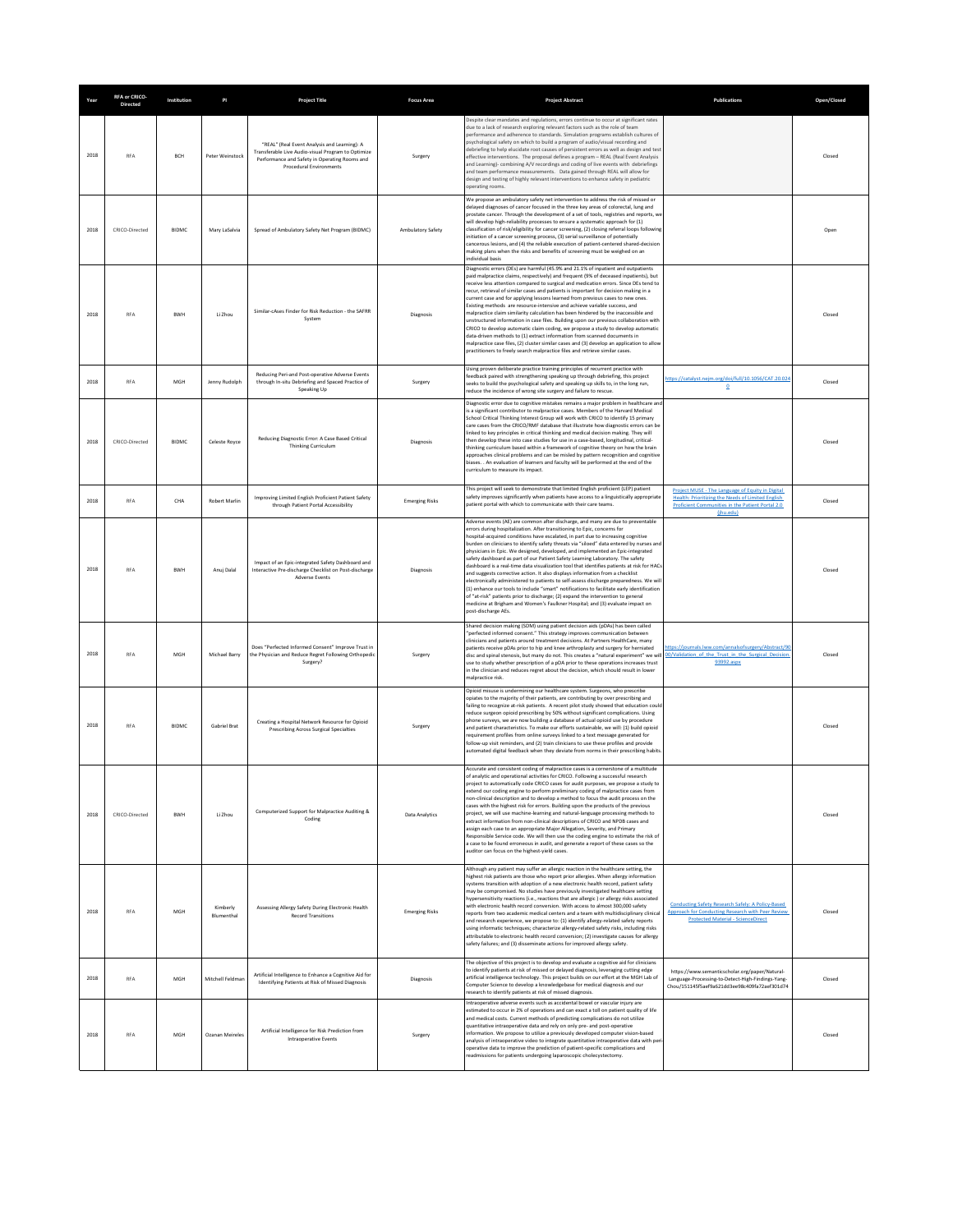| Year | RFA or CRICO-<br>Directed | Institution  | PI                     | <b>Project Title</b>                                                                                                                                                           | <b>Focus Area</b>     | <b>Project Abstract</b>                                                                                                                                                                                                                                                                                                                                                                                                                                                                                                                                                                                                                                                                                                                                                                                                                                                                                                                                                                                                                                                        | Publications                                                                                                                                                           | Open/Closed |
|------|---------------------------|--------------|------------------------|--------------------------------------------------------------------------------------------------------------------------------------------------------------------------------|-----------------------|--------------------------------------------------------------------------------------------------------------------------------------------------------------------------------------------------------------------------------------------------------------------------------------------------------------------------------------------------------------------------------------------------------------------------------------------------------------------------------------------------------------------------------------------------------------------------------------------------------------------------------------------------------------------------------------------------------------------------------------------------------------------------------------------------------------------------------------------------------------------------------------------------------------------------------------------------------------------------------------------------------------------------------------------------------------------------------|------------------------------------------------------------------------------------------------------------------------------------------------------------------------|-------------|
| 2018 | RFA                       | BCH          | Peter Weinstock        | "REAL" (Real Event Analysis and Learning): A<br>Transferable Live Audio-visual Program to Optimize<br>Performance and Safety in Operating Rooms and<br>Procedural Environments | Surgery               | Despite clear mandates and regulations, errors continue to occur at significant rates<br>due to a lack of research exploring relevant factors such as the role of team<br>performance and adherence to standards. Simulation programs establish cultures of<br>psychological safety on which to build a program of audio/visual recording and<br>debriefing to help elucidate root causes of persistent errors as well as design and test<br>effective interventions. The proposal defines a program - REAL (Real Event Analysis<br>and Learning)- combining A/V recordings and coding of live events with debriefings<br>and team performance measurements. Data gained through REAL will allow for<br>design and testing of highly relevant interventions to enhance safety in pediatric<br>operating rooms                                                                                                                                                                                                                                                                  |                                                                                                                                                                        | Closed      |
| 2018 | CRICO-Directed            | <b>BIDMC</b> | Mary LaSalvia          | Spread of Ambulatory Safety Net Program (BIDMC)                                                                                                                                | Ambulatory Safety     | We propose an ambulatory safety net intervention to address the risk of missed or<br>delayed diagnoses of cancer focused in the three key areas of colorectal, lung and<br>prostate cancer. Through the development of a set of tools, registries and reports, we<br>will develop high-reliability processes to ensure a systematic approach for (1)<br>classification of risk/eligibility for cancer screening, (2) closing referral loops followin<br>initiation of a cancer screening process, (3) serial surveillance of potentially<br>cancerous lesions, and (4) the reliable execution of patient-centered shared-decision<br>making plans when the risks and benefits of screening must be weighed on an<br>ndividual basis                                                                                                                                                                                                                                                                                                                                            |                                                                                                                                                                        | Open        |
| 2018 | <b>RFA</b>                | <b>BWH</b>   | Li Zhou                | Similar-cases Finder for Risk Reduction - the SAFRR<br>System                                                                                                                  | Diagnosis             | Diagnostic errors (DEs) are harmful (45.9% and 21.1% of inpatient and outpatients<br>paid malpractice claims, respectively) and frequent (9% of deceased inpatients), but<br>receive less attention compared to surgical and medication errors. Since DEs tend to<br>recur, retrieval of similar cases and patients is important for decision making in a<br>current case and for applying lessons learned from previous cases to new ones.<br>Existing methods are resource-intensive and achieve variable success, and<br>malpractice claim similarity calculation has been hindered by the inaccessible and<br>unstructured information in case files. Building upon our previous collaboration with<br>CRICO to develop automatic claim coding, we propose a study to develop automatic<br>data-driven methods to (1) extract information from scanned documents in<br>malpractice case files, (2) cluster similar cases and (3) develop an application to allow<br>practitioners to freely search malpractice files and retrieve similar cases.                           |                                                                                                                                                                        | Closed      |
| 2018 | RFA                       | MGH          | Jenny Rudolph          | Reducing Peri-and Post-operative Adverse Events<br>through In-situ Debriefing and Spaced Practice of<br>Speaking Up                                                            | Surgery               | Using proven deliberate practice training principles of recurrent practice with<br>feedback paired with strengthening speaking up through debriefing, this project<br>seeks to build the psychological safety and speaking up skills to, in the long run,<br>educe the incidence of wrong site surgery and failure to rescue                                                                                                                                                                                                                                                                                                                                                                                                                                                                                                                                                                                                                                                                                                                                                   | https://catalyst.nejm.org/doi/full/10.1056/CAT.20.024<br>$\overline{0}$                                                                                                | Closed      |
| 2018 | CRICO-Directed            | <b>BIDMC</b> | Celeste Royce          | Reducing Diagnostic Error: A Case Based Critical<br><b>Thinking Curriculum</b>                                                                                                 | Diagnosis             | Diagnostic error due to cognitive mistakes remains a major problem in healthcare and<br>is a significant contributor to malpractice cases. Members of the Harvard Medical<br>School Critical Thinking Interest Group will work with CRICO to identify 15 primary<br>care cases from the CRICO/RMF database that illustrate how diagnostic errors can be<br>linked to key principles in critical thinking and medical decision making. They will<br>then develop these into case studies for use in a case-based, longitudinal, critical-<br>thinking curriculum based within a framework of cognitive theory on how the brain<br>approaches clinical problems and can be misled by pattern recognition and cognitive<br>biases. . An evaluation of learners and faculty will be performed at the end of the<br>curriculum to measure its impact.                                                                                                                                                                                                                               |                                                                                                                                                                        | Closed      |
| 2018 | RFA                       | CHA          | Robert Marlin          | Improving Limited English Proficient Patient Safety<br>through Patient Portal Accessibility                                                                                    | <b>Emerging Risks</b> | This project will seek to demonstrate that limited English proficient (LEP) patient<br>safety improves significantly when patients have access to a linguistically appropriate<br>patient portal with which to communicate with their care teams.                                                                                                                                                                                                                                                                                                                                                                                                                                                                                                                                                                                                                                                                                                                                                                                                                              | Project MUSE - The Language of Equity in Digital<br>Health: Prioritizing the Needs of Limited English<br>Proficient Communities in the Patient Portal 2.0<br>(ihu.edu) | Closed      |
| 2018 | <b>RFA</b>                | <b>BWH</b>   | Anuj Dalal             | Impact of an Epic-integrated Safety Dashboard and<br>Interactive Pre-discharge Checklist on Post-discharge<br><b>Adverse Events</b>                                            | Diagnosis             | Adverse events (AE) are common after discharge, and many are due to preventable<br>errors during hospitalization. After transitioning to Epic, concerns for<br>hospital-acquired conditions have escalated, in part due to increasing cognitive<br>burden on clinicians to identify safety threats via "siloed" data entered by nurses and<br>physicians in Epic. We designed, developed, and implemented an Epic-integrated<br>safety dashboard as part of our Patient Safety Learning Laboratory. The safety<br>dashboard is a real-time data visualization tool that identifies patients at risk for HACs<br>and suggests corrective action. It also displays information from a checklist<br>electronically administered to patients to self-assess discharge preparedness. We wil<br>(1) enhance our tools to include "smart" notifications to facilitate early identification<br>of "at-risk" patients prior to discharge; (2) expand the intervention to general<br>medicine at Brigham and Women's Faulkner Hospital; and (3) evaluate impact on<br>ost-discharge AEs. |                                                                                                                                                                        | Closed      |
| 2018 | RFA                       | MGH          | Michael Barry          | Does "Perfected Informed Consent" Improve Trust in<br>the Physician and Reduce Regret Following Orthopedic<br>Surgery?                                                         | Surgery               | Shared decision making (SDM) using patient decision aids (pDAs) has been called<br>"perfected informed consent." This strategy improves communication between<br>clinicians and patients around treatment decisions. At Partners HealthCare, many<br>patients receive pDAs prior to hip and knee arthroplasty and surgery for herniated<br>disc and spinal stenosis, but many do not. This creates a "natural experiment" we will<br>use to study whether prescription of a pDA prior to these operations increases trust<br>in the clinician and reduces regret about the decision, which should result in lower<br>malpractice risk.                                                                                                                                                                                                                                                                                                                                                                                                                                         | ittps://journals.lww.com/annalsofsurgery/Abstract/90<br>10/Validation of the Trust in the Surgical Decision<br>93992.aspx                                              | Closed      |
| 2018 | <b>RFA</b>                | <b>BIDMC</b> | Gabriel Brat           | Creating a Hospital Network Resource for Opioid<br>Prescribing Across Surgical Specialties                                                                                     | Surgery               | Opioid misuse is undermining our healthcare system. Surgeons, who prescribe<br>opiates to the majority of their patients, are contributing by over prescribing and<br>failing to recognize at-risk patients. A recent pilot study showed that education could<br>reduce surgeon opioid prescribing by 50% without significant complications. Using<br>phone surveys, we are now building a database of actual opioid use by procedure<br>and patient characteristics. To make our efforts sustainable, we will: (1) build opioid<br>requirement profiles from online surveys linked to a text message generated for<br>follow-up visit reminders, and (2) train clinicians to use these profiles and provide<br>utomated digital feedback when they deviate from norms in their prescribing habits                                                                                                                                                                                                                                                                             |                                                                                                                                                                        | Closed      |
| 2018 | CRICO-Directed            | <b>BWH</b>   | Li Zhou                | Computerized Support for Malpractice Auditing &<br>Coding                                                                                                                      | Data Analytics        | Accurate and consistent coding of malpractice cases is a cornerstone of a multitude<br>of analytic and operational activities for CRICO. Following a successful research<br>project to automatically code CRICO cases for audit purposes, we propose a study to<br>extend our coding engine to perform preliminary coding of malpractice cases from<br>non-clinical description and to develop a method to focus the audit process on the<br>cases with the highest risk for errors. Building upon the products of the previous<br>project, we will use machine-learning and natural-language processing methods to<br>extract information from non-clinical descriptions of CRICO and NPDB cases and<br>assign each case to an appropriate Major Allegation, Severity, and Primary<br>Resnansible Service code. We will then use the coding engine to estimate the risk of<br>a case to be found erroneous in audit, and generate a report of these cases so the<br>auditor can focus on the highest-yield cases.                                                             |                                                                                                                                                                        | Closed      |
| 2018 | <b>RFA</b>                | MGH          | Kimberly<br>Blumenthal | Assessing Allergy Safety During Electronic Health<br><b>Record Transitions</b>                                                                                                 | <b>Emerging Risks</b> | Although any patient may suffer an allergic reaction in the healthcare setting, the<br>highest risk patients are those who report prior allergies. When allergy information<br>systems transition with adoption of a new electronic health record, patient safety<br>may be compromised. No studies have previously investigated healthcare setting<br>hypersensitivity reactions (i.e., reactions that are allergic) or allergy risks associated<br>with electronic health record conversion. With access to almost 300,000 safety<br>reports from two academic medical centers and a team with multidisciplinary clinical<br>and research experience, we propose to: (1) identify allergy-related safety reports<br>using informatic techniques: characterize allergy-related safety risks, including risks<br>attributable to electronic health record conversion: (2) investigate causes for allergy<br>safety failures; and (3) disseminate actions for improved allergy safety.                                                                                          | Conducting Safety Research Safely: A Policy-Based<br>Approach for Conducting Research with Peer Review<br><b>Protected Material - ScienceDirect</b>                    | Closed      |
| 2018 | <b>RFA</b>                | MGH          | Mitchell Feldmar       | Artificial Intelligence to Enhance a Cognitive Aid for<br>Identifying Patients at Risk of Missed Diagnosis                                                                     | Diagnosis             | The objective of this project is to develop and evaluate a cognitive aid for clinicians<br>to identify patients at risk of missed or delayed diagnosis, leveraging cutting edge<br>artificial intelligence technology. This project builds on our effort at the MGH Lab of<br>Computer Science to develop a knowledgebase for medical diagnosis and our<br>research to identify patients at risk of missed diagnosis.                                                                                                                                                                                                                                                                                                                                                                                                                                                                                                                                                                                                                                                          | https://www.semanticscholar.org/paper/Natural-<br>Language-Processing-to-Detect-High-Findings-Yang-<br>Chou/151145f5aef9a621dd3ee98c409fa72aef301d74                   | Closed      |
| 2018 | <b>RFA</b>                | MGH          | Ozanan Meireles        | Artificial Intelligence for Risk Prediction from<br>Intraoperative Events                                                                                                      | Surgery               | Intraoperative adverse events such as accidental bowel or vascular injury are<br>estimated to occur in 2% of operations and can exact a toll on patient quality of life<br>and medical costs. Current methods of predicting complications do not utilize<br>quantitative intraoperative data and rely on only pre- and post-operative<br>information. We propose to utilize a previously developed computer vision-based<br>analysis of intraoperative video to integrate quantitative intraoperative data with per<br>operative data to improve the prediction of patient-specific complications and<br>readmissions for patients undergoing laparoscopic cholecystectomy.                                                                                                                                                                                                                                                                                                                                                                                                    |                                                                                                                                                                        | Closed      |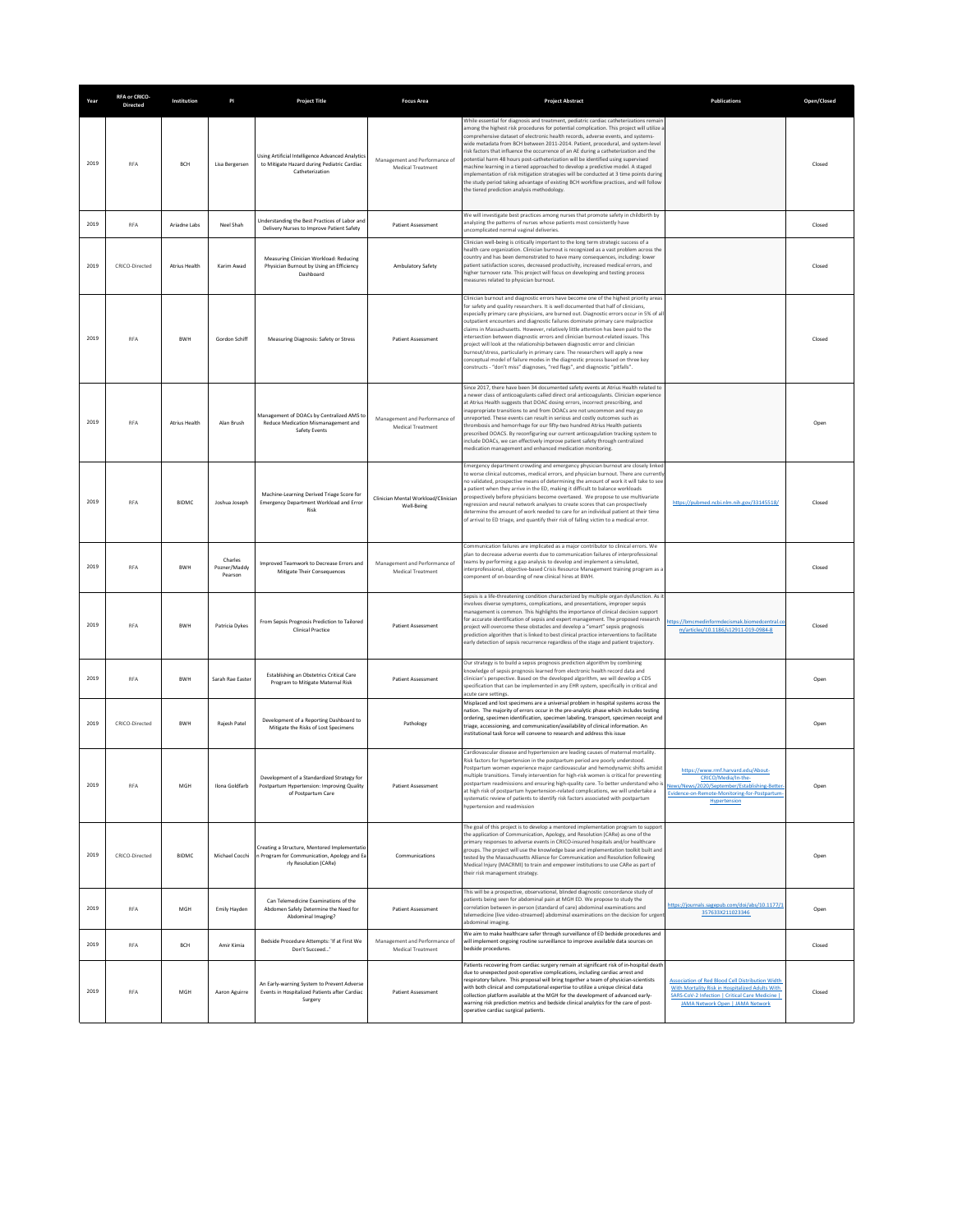| Year | RFA or CRICO-<br><b>Directed</b> | Institution          | PI                                 | <b>Project Title</b>                                                                                                 | <b>Focus Area</b>                                  | <b>Project Abstract</b>                                                                                                                                                                                                                                                                                                                                                                                                                                                                                                                                                                                                                                                                                                                                                                                                                                                 | <b>Publications</b>                                                                                                                                                                        | Open/Closed |
|------|----------------------------------|----------------------|------------------------------------|----------------------------------------------------------------------------------------------------------------------|----------------------------------------------------|-------------------------------------------------------------------------------------------------------------------------------------------------------------------------------------------------------------------------------------------------------------------------------------------------------------------------------------------------------------------------------------------------------------------------------------------------------------------------------------------------------------------------------------------------------------------------------------------------------------------------------------------------------------------------------------------------------------------------------------------------------------------------------------------------------------------------------------------------------------------------|--------------------------------------------------------------------------------------------------------------------------------------------------------------------------------------------|-------------|
| 2019 | <b>RFA</b>                       | <b>BCH</b>           | Lisa Bergersen                     | Using Artificial Intelligence Advanced Analytics<br>to Mitigate Hazard during Pediatric Cardiac<br>Catheterization   | Management and Performance of<br>Medical Treatment | While essential for diagnosis and treatment, pediatric cardiac catheterizations remain<br>among the highest risk procedures for potential complication. This project will utilize a<br>comprehensive dataset of electronic health records, adverse events, and systems-<br>vide metadata from BCH between 2011-2014. Patient, procedural, and system-level<br>isk factors that influence the occurrence of an AE during a catheterization and the<br>ootential harm 48 hours post-catheterization will be identified using supervised<br>machine learning in a tiered approached to develop a predictive model. A staged<br>mplementation of risk mitigation strategies will be conducted at 3 time points during<br>the study period taking advantage of existing BCH workflow practices, and will follow<br>the tiered prediction analysis methodology.               |                                                                                                                                                                                            | Closed      |
| 2019 | <b>RFA</b>                       | Ariadne Labs         | Neel Shah                          | Understanding the Best Practices of Labor and<br>Delivery Nurses to Improve Patient Safety                           | <b>Patient Assessment</b>                          | We will investigate best practices among nurses that promote safety in childbirth by<br>analyzing the patterns of nurses whose patients most consistently have<br>incomplicated normal vaginal deliveries.                                                                                                                                                                                                                                                                                                                                                                                                                                                                                                                                                                                                                                                              |                                                                                                                                                                                            | Closed      |
| 2019 | CRICO-Directed                   | Atrius Health        | Karim Awad                         | Measuring Clinician Workload: Reducing<br>Physician Burnout by Using an Efficiency<br>Dashboard                      | Ambulatory Safety                                  | Clinician well-being is critically important to the long term strategic success of a<br>health care organization. Clinician burnout is recognized as a vast problem across the<br>country and has been demonstrated to have many consequences, including: lower<br>batient satisfaction scores, decreased productivity, increased medical errors, and<br>higher turnover rate. This project will focus on developing and testing process<br>measures related to physician burnout.                                                                                                                                                                                                                                                                                                                                                                                      |                                                                                                                                                                                            | Closed      |
| 2019 | <b>RFA</b>                       | <b>BWH</b>           | Gordon Schiff                      | Measuring Diagnosis: Safety or Stress                                                                                | <b>Patient Assessment</b>                          | Clinician burnout and diagnostic errors have become one of the highest priority areas<br>for safety and quality researchers. It is well documented that half of clinicians<br>especially primary care physicians, are burned out. Diagnostic errors occur in 5% of all<br>outpatient encounters and diagnostic failures dominate primary care malpractice<br>claims in Massachusetts. However, relatively little attention has been paid to the<br>intersection between diagnostic errors and clinician burnout-related issues. This<br>project will look at the relationship between diagnostic error and clinician<br>burnout/stress, particularly in primary care. The researchers will apply a new<br>conceptual model of failure modes in the diagnostic process based on three key<br>onstructs - "don't miss" diagnoses, "red flags", and diagnostic "pitfalls". |                                                                                                                                                                                            | Closed      |
| 2019 | <b>RFA</b>                       | <b>Atrius Health</b> | Alan Brush                         | Management of DOACs by Centralized AMS to<br>Reduce Medication Mismanagement and<br>Safety Events                    | Management and Performance of<br>Medical Treatment | Since 2017, there have been 34 documented safety events at Atrius Health related to<br>newer class of anticoagulants called direct oral anticoagulants. Clinician experience<br>at Atrius Health suggests that DOAC dosing errors, incorrect prescribing, and<br>nappropriate transitions to and from DOACs are not uncommon and may go<br>inreported. These events can result in serious and costly outcomes such as<br>hrombosis and hemorrhage for our fifty-two hundred Atrius Health patients<br>prescribed DOACS. By reconfiguring our current anticoagulation tracking system to<br>include DOACs, we can effectively improve patient safety through centralized<br>medication management and enhanced medication monitoring.                                                                                                                                    |                                                                                                                                                                                            | Open        |
| 2019 | <b>RFA</b>                       | <b>BIDMC</b>         | Joshua Joseph                      | Machine-Learning Derived Triage Score for<br>Emergency Department Workload and Error<br>Risk                         | Clinician Mental Workload/Clinician<br>Well-Being  | Emergency department crowding and emergency physician burnout are closely linke<br>to worse clinical outcomes, medical errors, and physician burnout. There are currently<br>no validated, prospective means of determining the amount of work it will take to see<br>a patient when they arrive in the ED, making it difficult to balance workloads<br>prospectively before physicians become overtaxed. We propose to use multivariate<br>egression and neural network analyses to create scores that can prospectively<br>determine the amount of work needed to care for an individual patient at their time<br>of arrival to ED triage, and quantify their risk of falling victim to a medical error.                                                                                                                                                              | https://pubmed.ncbi.nlm.nih.gov/33145518/                                                                                                                                                  | Closed      |
| 2019 | <b>RFA</b>                       | <b>BWH</b>           | Charles<br>Pozner/Maddy<br>Pearson | Improved Teamwork to Decrease Errors and<br>Mitigate Their Consequences                                              | Management and Performance of<br>Medical Treatment | Communication failures are implicated as a major contributor to clinical errors. We<br>blan to decrease adverse events due to communication failures of interprofessional<br>teams by performing a gap analysis to develop and implement a simulated,<br>nterprofessional, objective-based Crisis Resource Management training program as a<br>component of on-boarding of new clinical hires at BWH.                                                                                                                                                                                                                                                                                                                                                                                                                                                                   |                                                                                                                                                                                            | Closed      |
| 2019 | <b>RFA</b>                       | <b>BWH</b>           | Patricia Dykes                     | From Sepsis Prognosis Prediction to Tailored<br><b>Clinical Practice</b>                                             | <b>Patient Assessment</b>                          | Sepsis is a life-threatening condition characterized by multiple organ dysfunction. As it<br>involves diverse symptoms, complications, and presentations, improper sepsis<br>management is common. This highlights the importance of clinical decision support<br>for accurate identification of sepsis and expert management. The proposed research<br>project will overcome these obstacles and develop a "smart" sepsis prognosis<br>prediction algorithm that is linked to best clinical practice interventions to facilitate<br>early detection of sepsis recurrence regardless of the stage and patient trajectory.                                                                                                                                                                                                                                               | ttps://bmcmedinformdecismak.biomedcentral.co<br>m/articles/10.1186/s12911-019-0984-8                                                                                                       | Closed      |
| 2019 | <b>RFA</b>                       | BWH                  | Sarah Rae Easter                   | Establishing an Obstetrics Critical Care<br>Program to Mitigate Maternal Risk                                        | Patient Assessment                                 | Our strategy is to build a sepsis prognosis prediction algorithm by combining<br>nowledge of sepsis prognosis learned from electronic health record data and<br>clinician's perspective. Based on the developed algorithm, we will develop a CDS<br>specification that can be implemented in any EHR system, specifically in critical and<br>cute care settings                                                                                                                                                                                                                                                                                                                                                                                                                                                                                                         |                                                                                                                                                                                            | Open        |
| 2019 | CRICO-Directed                   | <b>BWH</b>           | <b>Rajesh Patel</b>                | Development of a Reporting Dashboard to<br>Mitigate the Risks of Lost Specimens                                      | Pathology                                          | Misplaced and lost specimens are a universal problem in hospital systems across the<br>nation. The majority of errors occur in the pre-analytic phase which includes testing<br>ordering, specimen identification, specimen labeling, transport, specimen receipt and<br>triage, accessioning, and communication/availability of clinical information. An<br>institutional task force will convene to research and address this issue                                                                                                                                                                                                                                                                                                                                                                                                                                   |                                                                                                                                                                                            | Open        |
| 2019 | RFA                              | MGH                  | Ilona Goldfarb                     | Development of a Standardized Strategy for<br>Postpartum Hypertension: Improving Quality<br>of Postpartum Care       | Patient Assessment                                 | Cardiovascular disease and hypertension are leading causes of maternal mortality.<br>tisk factors for hypertension in the postpartum period are poorly understood<br>Postpartum women experience major cardiovascular and hemodynamic shifts amidst<br>multiple transitions. Timely intervention for high-risk women is critical for preventing<br>postpartum readmissions and ensuring high-quality care. To better understand who is<br>at high risk of postpartum hypertension-related complications, we will undertake a<br>systematic review of patients to identify risk factors associated with postpartum<br>typertension and readmission                                                                                                                                                                                                                       | https://www.rmf.harvard.edu/About-<br>CRICO/Media/In-the-<br>020/September/Establ<br>Evidence-on-Remote-Monitoring-for-Postpartum-<br>Hypertension                                         | Open        |
| 2019 | CRICO-Directed                   | <b>BIDMC</b>         | Michael Cocchi                     | Creating a Structure, Mentored Implementatio<br>n Program for Communication, Apology and Ea<br>rly Resolution (CARe) | Communications                                     | The goal of this project is to develop a mentored implementation program to support<br>the application of Communication, Apology, and Resolution (CARe) as one of the<br>primary responses to adverse events in CRICO-insured hospitals and/or healthcare<br>groups. The project will use the knowledge base and implementation toolkit built and<br>tested by the Massachusetts Alliance for Communication and Resolution following<br>Medical Injury (MACRMI) to train and empower institutions to use CARe as part of<br>their risk management strategy.                                                                                                                                                                                                                                                                                                             |                                                                                                                                                                                            | Open        |
| 2019 | RFA                              | MGH                  | Emily Hayden                       | Can Telemedicine Examinations of the<br>Abdomen Safely Determine the Need for<br>Abdominal Imaging?                  | Patient Assessment                                 | This will be a prospective, observational, blinded diagnostic concordance study of<br>atients being seen for abdominal pain at MGH ED. We propose to study the<br>correlation between in-person (standard of care) abdominal examinations and<br>telemedicine (live video-streamed) abdominal examinations on the decision for urgent<br>abdominal imaging.                                                                                                                                                                                                                                                                                                                                                                                                                                                                                                             | https://journals.sagepub.com/doi/abs/10.1177/1<br>357633X211023346                                                                                                                         | Open        |
| 2019 | <b>RFA</b>                       | <b>BCH</b>           | Amir Kimia                         | Bedside Procedure Attempts: 'If at First We<br>Don't Succeed'                                                        | Management and Performance of<br>Medical Treatment | We aim to make healthcare safer through surveillance of ED bedside procedures and<br>will implement ongoing routine surveillance to improve available data sources on<br>bedside procedures.                                                                                                                                                                                                                                                                                                                                                                                                                                                                                                                                                                                                                                                                            |                                                                                                                                                                                            | Closed      |
| 2019 | <b>RFA</b>                       | MGH                  | Aaron Aguirre                      | An Early-warning System to Prevent Adverse<br>Events in Hospitalized Patients after Cardiac<br>Surgery               | <b>Patient Assessment</b>                          | Patients recovering from cardiac surgery remain at significant risk of in-hospital death<br>due to unexpected post-operative complications, including cardiac arrest and<br>respiratory failure. This proposal will bring together a team of physician-scientists<br>with both clinical and computational expertise to utilize a unique clinical data<br>collection platform available at the MGH for the development of advanced early-<br>warning risk prediction metrics and bedside clinical analytics for the care of post-<br>operative cardiac surgical patients.                                                                                                                                                                                                                                                                                                | Association of Red Blood Cell Distribution Width<br>With Mortality Risk in Hospitalized Adults With<br>SARS-CoV-2 Infection   Critical Care Medicine  <br>JAMA Network Open   JAMA Network | Closed      |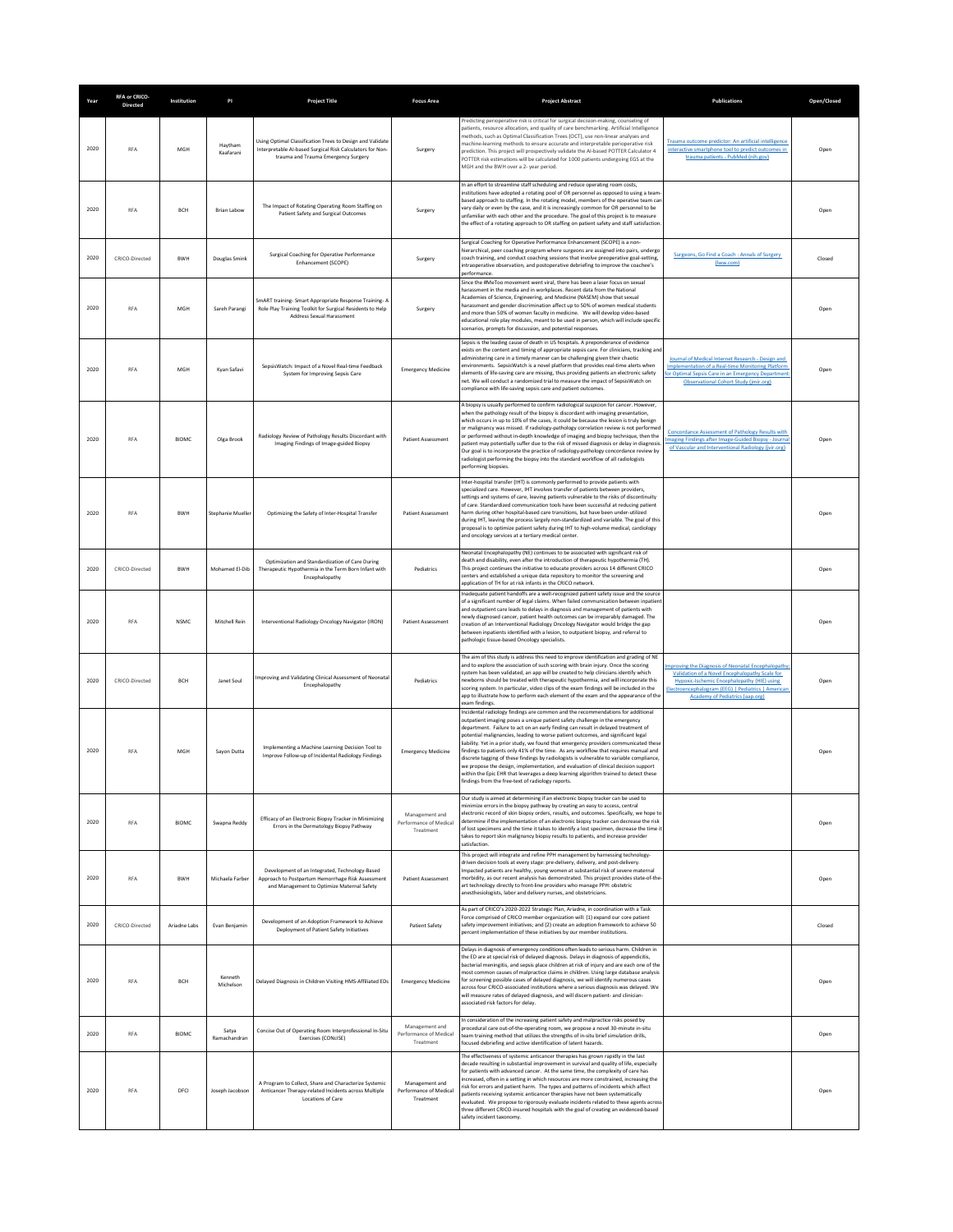| Year | <b>RFA or CRICO-</b><br><b>Directed</b> | Institution  | PI                    | <b>Project Title</b>                                                                                                                                          | <b>Focus Area</b>                                     | <b>Project Abstract</b>                                                                                                                                                                                                                                                                                                                                                                                                                                                                                                                                                                                                                                                                                                                                                                                                                                | <b>Publications</b>                                                                                                                                                                                                                                | Open/Closed |
|------|-----------------------------------------|--------------|-----------------------|---------------------------------------------------------------------------------------------------------------------------------------------------------------|-------------------------------------------------------|--------------------------------------------------------------------------------------------------------------------------------------------------------------------------------------------------------------------------------------------------------------------------------------------------------------------------------------------------------------------------------------------------------------------------------------------------------------------------------------------------------------------------------------------------------------------------------------------------------------------------------------------------------------------------------------------------------------------------------------------------------------------------------------------------------------------------------------------------------|----------------------------------------------------------------------------------------------------------------------------------------------------------------------------------------------------------------------------------------------------|-------------|
| 2020 | RFA                                     | MGH          | Havtham<br>Kaafarani  | Using Optimal Classification Trees to Design and Validate<br>Interpretable AI-based Surgical Risk Calculators for Non-<br>trauma and Trauma Emergency Surgery | Surgery                                               | Predicting perioperative risk is critical for surgical decision-making, counseling of<br>patients, resource allocation, and quality of care benchmarking. Artificial Intelligence<br>methods, such as Optimal Classification Trees (OCT), use non-linear analyses and<br>machine-learning methods to ensure accurate and interpretable perioperative risk<br>prediction. This project will prospectively validate the AI-based POTTER Calculator 4<br>POTTER risk estimations will be calculated for 1000 patients undergoing EGS at the<br>MGH and the BWH over a 2- year period.                                                                                                                                                                                                                                                                     | Trauma outcome predictor: An artificial intelligence<br>interactive smartphone tool to predict outcomes in<br>trauma patients - PubMed (nih.gov)                                                                                                   | Open        |
| 2020 | <b>RFA</b>                              | <b>BCH</b>   | <b>Brian Labow</b>    | The Impact of Rotating Operating Room Staffing on<br>Patient Safety and Surgical Outcomes                                                                     | Surgery                                               | In an effort to streamline staff scheduling and reduce operating room costs,<br>institutions have adopted a rotating pool of OR personnel as opposed to using a team<br>based approach to staffing. In the rotating model, members of the operative team can<br>vary daily or even by the case, and it is increasingly common for OR personnel to be<br>unfamiliar with each other and the procedure. The goal of this project is to measure<br>the effect of a rotating approach to OR staffing on patient safety and staff satisfactior                                                                                                                                                                                                                                                                                                              |                                                                                                                                                                                                                                                    | Open        |
| 2020 | CRICO-Directed                          | BWH          | Douglas Smink         | Surgical Coaching for Operative Performance<br>Enhancement (SCOPE)                                                                                            | Surgery                                               | Surgical Coaching for Operative Performance Enhancement (SCOPE) is a non-<br>hierarchical, peer coaching program where surgeons are assigned into pairs, undergo<br>coach training, and conduct coaching sessions that involve preoperative goal-setting,<br>intraoperative observation, and postoperative debriefing to improve the coachee's<br>nerformance                                                                                                                                                                                                                                                                                                                                                                                                                                                                                          | Surgeons, Go Find a Coach : Annals of Surgery<br>(lww.com)                                                                                                                                                                                         | Closed      |
| 2020 | <b>RFA</b>                              | MGH          | Sareh Parangi         | SmART training-Smart Appropriate Response Training- A<br>Role Play Training Toolkit for Surgical Residents to Help<br>Address Sexual Harassment               | Surgery                                               | Since the #MeToo movement went viral, there has been a laser focus on sexual<br>harassment in the media and in workplaces. Recent data from the National<br>Academies of Science, Engineering, and Medicine (NASEM) show that sexual<br>harassment and gender discrimination affect up to 50% of women medical students<br>and more than 50% of women faculty in medicine. We will develop video-based<br>educational role play modules, meant to be used in person, which will include specific<br>scenarios, prompts for discussion, and potential responses.                                                                                                                                                                                                                                                                                        |                                                                                                                                                                                                                                                    | Open        |
| 2020 | RFA                                     | <b>MGH</b>   | Kvan Safavi           | SepsisWatch: Impact of a Novel Real-time Feedback<br>System for Improving Sepsis Care                                                                         | <b>Emergency Medicine</b>                             | Sepsis is the leading cause of death in US hospitals. A preponderance of evidence<br>exists on the content and timing of appropriate sepsis care. For clinicians, tracking an<br>administering care in a timely manner can be challenging given their chaotic<br>environments. SepsisWatch is a novel platform that provides real-time alerts when<br>elements of life-saving care are missing, thus providing patients an electronic safety<br>net. We will conduct a randomized trial to measure the impact of SepsisWatch on<br>compliance with life-saving sepsis care and patient outcomes.                                                                                                                                                                                                                                                       | Journal of Medical Internet Research - Design and<br><b>Implementation of a Real-time Monitoring Platforn</b><br>or Optimal Sepsis Care in an Emergency Department<br><b>Observational Cohort Study (jmir.org)</b>                                 | Open        |
| 2020 | RFA                                     | <b>BIDMC</b> | Olga Brook            | Radiology Review of Pathology Results Discordant with<br>Imaging Findings of Image-guided Biopsy                                                              | <b>Patient Assessment</b>                             | A biopsy is usually performed to confirm radiological suspicion for cancer. However,<br>when the pathology result of the biopsy is discordant with imaging presentation,<br>which occurs in up to 10% of the cases, it could be because the lesion is truly benign<br>or malignancy was missed. If radiology-pathology correlation review is not performed<br>or performed without in-depth knowledge of imaging and biopsy technique, then the<br>patient may potentially suffer due to the risk of missed diagnosis or delay in diagnosis<br>Our goal is to incorporate the practice of radiology-pathology concordance review by<br>radiologist performing the biopsy into the standard workflow of all radiologists<br>performing biopsies.                                                                                                        | <b>Concordance Assessment of Pathology Results with</b><br><b>Imaging Findings after Image-Guided Biopsy - Journal</b><br>of Vascular and Interventional Radiology (jvir.org)                                                                      | Open        |
| 2020 | <b>RFA</b>                              | <b>BWH</b>   | Stephanie Mueller     | Optimizing the Safety of Inter-Hospital Transfer                                                                                                              | Patient Assessment                                    | Inter-hospital transfer (IHT) is commonly performed to provide patients with<br>specialized care. However, IHT involves transfer of patients between providers,<br>settings and systems of care, leaving patients vulnerable to the risks of discontinuity<br>of care. Standardized communication tools have been successful at reducing patient<br>harm during other hospital-based care transitions, but have been under-utilized<br>during IHT, leaving the process largely non-standardized and variable. The goal of this<br>proposal is to optimize patient safety during IHT to high-volume medical, cardiology<br>and oncology services at a tertiary medical center.                                                                                                                                                                          |                                                                                                                                                                                                                                                    | Open        |
| 2020 | CRICO-Directed                          | BWH          | Mohamed El-Dib        | Optimization and Standardization of Care During<br>Therapeutic Hypothermia in the Term Born Infant with<br>Encephalopathy                                     | Pediatrics                                            | Neonatal Encephalopathy (NE) continues to be associated with significant risk of<br>death and disability, even after the introduction of therapeutic hypothermia (TH).<br>This project continues the initiative to educate providers across 14 different CRICO<br>centers and established a unique data repository to monitor the screening and<br>application of TH for at risk infants in the CRICO network.                                                                                                                                                                                                                                                                                                                                                                                                                                         |                                                                                                                                                                                                                                                    | Open        |
| 2020 | RFA                                     | <b>NSMC</b>  | Mitchell Rein         | Interventional Radiology Oncology Navigator (IRON)                                                                                                            | <b>Patient Assessment</b>                             | Inadequate patient handoffs are a well-recognized patient safety issue and the source<br>of a significant number of legal claims. When failed communication between inpatie<br>and outpatient care leads to delays in diagnosis and management of patients with<br>newly diagnosed cancer, patient health outcomes can be irreparably damaged. The<br>creation of an Interventional Radiology Oncology Navigator would bridge the gap<br>between inpatients identified with a lesion, to outpatient biopsy, and referral to<br>pathologic tissue-based Oncology specialists.                                                                                                                                                                                                                                                                           |                                                                                                                                                                                                                                                    | Open        |
| 2020 | CRICO-Directed                          | <b>BCH</b>   | Janet Soul            | Improving and Validating Clinical Assessment of Neonatal<br>Encephalopathy                                                                                    | Pediatrics                                            | The aim of this study is address this need to improve identification and grading of NE<br>and to explore the association of such scoring with brain injury. Once the scoring<br>system has been validated, an app will be created to help clinicians identify which<br>newborns should be treated with therapeutic hypothermia, and will incorporate this<br>scoring system. In particular, video clips of the exam findings will be included in the<br>app to illustrate how to perform each element of the exam and the appearance of the<br>exam findings                                                                                                                                                                                                                                                                                           | nproving the Diagnosis of Neonatal Encephalopathy<br>Validation of a Novel Encephalopathy Scale for<br>Hypoxic-Ischemic Encephalopathy (HIE) using<br>Electroencephalogram (EEG)   Pediatrics   American<br><b>Academy of Pediatrics (aap.org)</b> | Open        |
| 2020 | <b>RFA</b>                              | MGH          | Sayon Dutta           | Implementing a Machine Learning Decision Tool to<br>Improve Follow-up of Incidental Radiology Findings                                                        | <b>Emergency Medicine</b>                             | Incidental radiology findings are common and the recommendations for additional<br>outpatient imaging poses a unique patient safety challenge in the emergency<br>department. Failure to act on an early finding can result in delayed treatment of<br>potential malignancies, leading to worse patient outcomes, and significant legal<br>liability. Yet in a prior study, we found that emergency providers communicated these<br>findings to patients only 41% of the time. As any workflow that requires manual and<br>discrete tagging of these findings by radiologists is vulnerable to variable compliance,<br>we propose the design, implementation, and evaluation of clinical decision support<br>within the Epic EHR that leverages a deep learning algorithm trained to detect these<br>findings from the free-text of radiology reports. |                                                                                                                                                                                                                                                    | Open        |
| 2020 | RFA                                     | <b>BIDMC</b> | Swapna Reddy          | Efficacy of an Electronic Biopsy Tracker in Minimizing<br>Errors in the Dermatology Biopsy Pathway                                                            | Management and<br>Performance of Medical<br>Treatment | Our study is aimed at determining if an electronic biopsy tracker can be used to<br>minimize errors in the biopsy pathway by creating an easy to access, central<br>electronic record of skin biopsy orders, results, and outcomes. Specifically, we hope to<br>determine if the implementation of an electronic biopsy tracker can decrease the risk<br>of lost specimens and the time it takes to identify a lost specimen, decrease the time i<br>takes to report skin malignancy biopsy results to patients, and increase provider<br>atisfaction                                                                                                                                                                                                                                                                                                  |                                                                                                                                                                                                                                                    | Open        |
| 2020 | RFA                                     | <b>RWH</b>   | Michaela Farber       | Development of an Integrated, Technology-Based<br>Approach to Postpartum Hemorrhage Risk Assessment<br>and Management to Optimize Maternal Safety             | <b>Patient Assessment</b>                             | This project will integrate and refine PPH management by harnessing technology-<br>driven decision tools at every stage: pre-delivery, delivery, and post-delivery.<br>Impacted patients are healthy, young women at substantial risk of severe maternal<br>morbidity, as our recent analysis has demonstrated. This project provides state-of-the<br>art technology directly to front-line providers who manage PPH: obstetric<br>anesthesiologists, labor and delivery nurses, and obstetricians.                                                                                                                                                                                                                                                                                                                                                    |                                                                                                                                                                                                                                                    | Open        |
| 2020 | CRICO-Directed                          | Ariadne Labs | Evan Benjamin         | Development of an Adoption Framework to Achieve<br>Deployment of Patient Safety Initiatives                                                                   | <b>Patient Safety</b>                                 | As part of CRICO's 2020-2022 Strategic Plan, Ariadne, in coordination with a Task<br>Force comprised of CRICO member organization will: (1) expand our core patient<br>safety improvement initiatives; and (2) create an adoption framework to achieve 50<br>percent implementation of these initiatives by our member institutions                                                                                                                                                                                                                                                                                                                                                                                                                                                                                                                    |                                                                                                                                                                                                                                                    | Closed      |
| 2020 | RFA                                     | <b>RCH</b>   | Kenneth<br>Michelson  | Delayed Diagnosis in Children Visiting HMS-Affiliated EDs                                                                                                     | <b>Emergency Medicine</b>                             | Delays in diagnosis of emergency conditions often leads to serious harm. Children in<br>the ED are at special risk of delayed diagnosis. Delays in diagnosis of appendicitis,<br>bacterial meningitis, and sepsis place children at risk of injury and are each one of the<br>most common causes of malpractice claims in children. Using large database analysis<br>for screening possible cases of delayed diagnosis, we will identify numerous cases<br>across four CRICO-associated institutions where a serious diagnosis was delayed. We<br>will measure rates of delayed diagnosis, and will discern patient- and clinician-<br>associated risk factors for delay.                                                                                                                                                                              |                                                                                                                                                                                                                                                    | Open        |
| 2020 | <b>RFA</b>                              | <b>BIDMC</b> | Satya<br>Ramachandran | Concise Out of Operating Room Interprofessional In-Situ<br>Exercises (CONcISE)                                                                                | Management and<br>Performance of Medical<br>Treatment | In consideration of the increasing patient safety and malpractice risks posed by<br>procedural care out-of-the-operating room, we propose a novel 30-minute in-situ<br>team training method that utilizes the strengths of in-situ brief simulation drills,<br>focused debriefing and active identification of latent hazards.                                                                                                                                                                                                                                                                                                                                                                                                                                                                                                                         |                                                                                                                                                                                                                                                    | Open        |
| 2020 | RFA                                     | DFCI         | Joseph Jacobson       | A Program to Collect, Share and Characterize Systemic<br>Anticancer Therapy-related Incidents across Multiple<br>Locations of Care                            | Management and<br>Performance of Medical<br>Treatment | The effectiveness of systemic anticancer therapies has grown rapidly in the last<br>decade resulting in substantial improvement in survival and quality of life, especially<br>for patients with advanced cancer. At the same time, the complexity of care has<br>increased, often in a setting in which resources are more constrained, increasing the<br>risk for errors and patient harm. The types and patterns of incidents which affect<br>patients receiving systemic anticancer therapies have not been systematically<br>evaluated. We propose to rigorously evaluate incidents related to these agents across<br>three different CRICO-insured hospitals with the goal of creating an evidenced-based<br>safety incident taxonomy                                                                                                            |                                                                                                                                                                                                                                                    | Open        |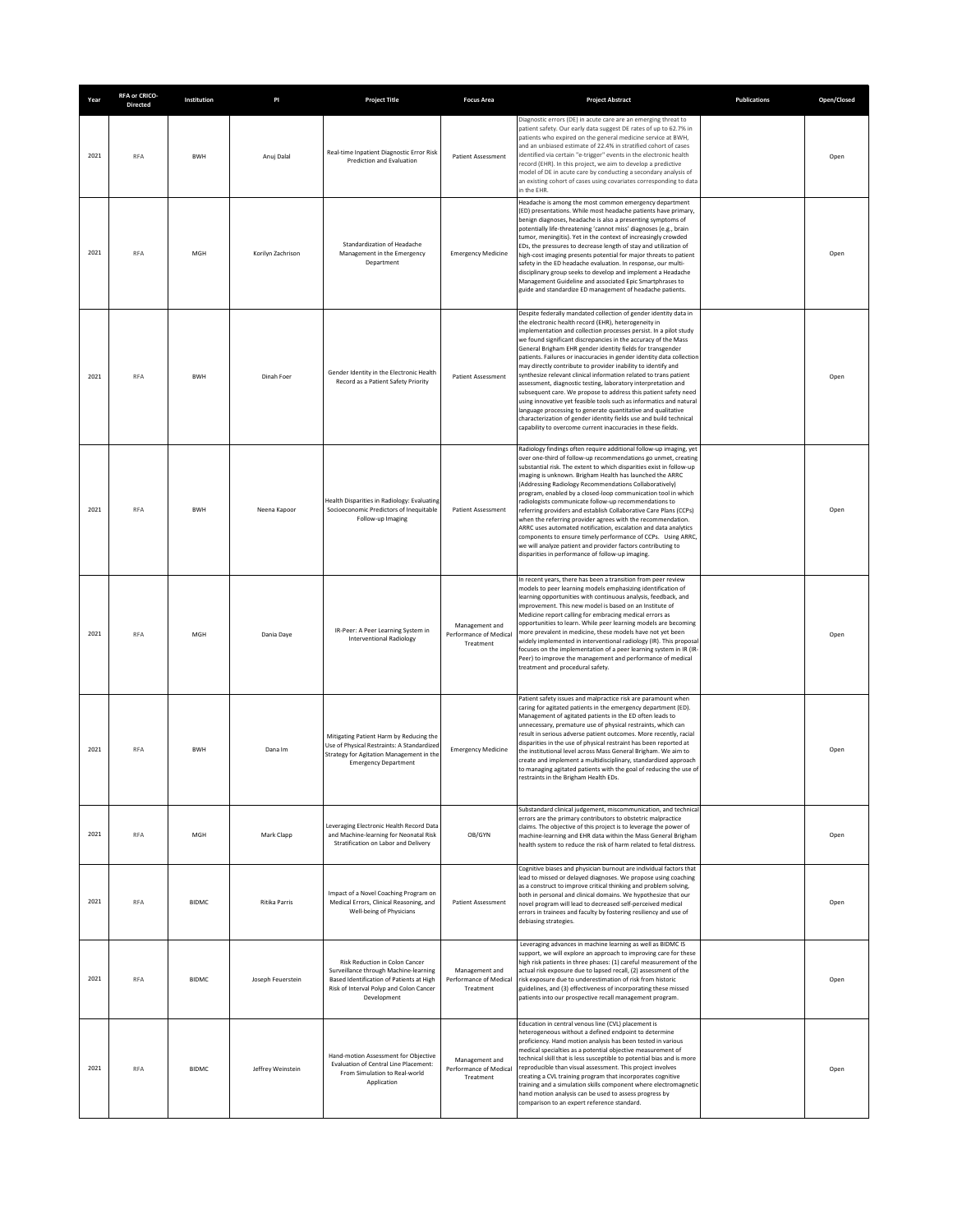| Year | <b>RFA or CRICO-</b><br><b>Directed</b> | Institution  | PI                | <b>Project Title</b>                                                                                                                                                          | <b>Focus Area</b>                                     | <b>Project Abstract</b>                                                                                                                                                                                                                                                                                                                                                                                                                                                                                                                                                                                                                                                                                                                                                                                                                                                                                                                                       | <b>Publications</b> | Open/Closed |
|------|-----------------------------------------|--------------|-------------------|-------------------------------------------------------------------------------------------------------------------------------------------------------------------------------|-------------------------------------------------------|---------------------------------------------------------------------------------------------------------------------------------------------------------------------------------------------------------------------------------------------------------------------------------------------------------------------------------------------------------------------------------------------------------------------------------------------------------------------------------------------------------------------------------------------------------------------------------------------------------------------------------------------------------------------------------------------------------------------------------------------------------------------------------------------------------------------------------------------------------------------------------------------------------------------------------------------------------------|---------------------|-------------|
| 2021 | <b>RFA</b>                              | <b>BWH</b>   | Anuj Dalal        | Real-time Inpatient Diagnostic Error Risk<br>Prediction and Evaluation                                                                                                        | Patient Assessment                                    | Diagnostic errors (DE) in acute care are an emerging threat to<br>patient safety. Our early data suggest DE rates of up to 62.7% in<br>patients who expired on the general medicine service at BWH.<br>and an unbiased estimate of 22.4% in stratified cohort of cases<br>identified via certain "e-trigger" events in the electronic health<br>record (EHR). In this project, we aim to develop a predictive<br>model of DE in acute care by conducting a secondary analysis of<br>an existing cohort of cases using covariates corresponding to data<br>in the EHR.                                                                                                                                                                                                                                                                                                                                                                                         |                     | Open        |
| 2021 | <b>RFA</b>                              | MGH          | Korilyn Zachrison | Standardization of Headache<br>Management in the Emergency<br>Department                                                                                                      | <b>Emergency Medicine</b>                             | Headache is among the most common emergency department<br>(ED) presentations. While most headache patients have primary,<br>benign diagnoses, headache is also a presenting symptoms of<br>potentially life-threatening 'cannot miss' diagnoses (e.g., brain<br>tumor, meningitis). Yet in the context of increasingly crowded<br>EDs, the pressures to decrease length of stay and utilization of<br>high-cost imaging presents potential for major threats to patient<br>safety in the ED headache evaluation. In response, our multi-<br>disciplinary group seeks to develop and implement a Headache<br>Management Guideline and associated Epic Smartphrases to<br>guide and standardize ED management of headache patients.                                                                                                                                                                                                                             |                     | Open        |
| 2021 | <b>RFA</b>                              | <b>BWH</b>   | Dinah Foer        | Gender Identity in the Electronic Health<br>Record as a Patient Safety Priority                                                                                               | Patient Assessment                                    | Despite federally mandated collection of gender identity data in<br>the electronic health record (EHR), heterogeneity in<br>implementation and collection processes persist. In a pilot study<br>we found significant discrepancies in the accuracy of the Mass<br>General Brigham EHR gender identity fields for transgender<br>patients. Failures or inaccuracies in gender identity data collection<br>may directly contribute to provider inability to identify and<br>synthesize relevant clinical information related to trans patient<br>assessment, diagnostic testing, laboratory interpretation and<br>subsequent care. We propose to address this patient safety need<br>using innovative yet feasible tools such as informatics and natural<br>language processing to generate quantitative and qualitative<br>characterization of gender identity fields use and build technical<br>capability to overcome current inaccuracies in these fields. |                     | Open        |
| 2021 | <b>RFA</b>                              | <b>BWH</b>   | Neena Kapoor      | Health Disparities in Radiology: Evaluating<br>Socioeconomic Predictors of Inequitable<br>Follow-up Imaging                                                                   | Patient Assessment                                    | Radiology findings often require additional follow-up imaging, yet<br>over one-third of follow-up recommendations go unmet, creating<br>substantial risk. The extent to which disparities exist in follow-up<br>imaging is unknown. Brigham Health has launched the ARRC<br>(Addressing Radiology Recommendations Collaboratively)<br>program, enabled by a closed-loop communication tool in which<br>radiologists communicate follow-up recommendations to<br>referring providers and establish Collaborative Care Plans (CCPs)<br>when the referring provider agrees with the recommendation.<br>ARRC uses automated notification, escalation and data analytics<br>components to ensure timely performance of CCPs. Using ARRC,<br>we will analyze patient and provider factors contributing to<br>disparities in performance of follow-up imaging.                                                                                                       |                     | Open        |
| 2021 | RFA                                     | MGH          | Dania Daye        | IR-Peer: A Peer Learning System in<br><b>Interventional Radiology</b>                                                                                                         | Management and<br>Performance of Medical<br>Treatment | In recent years, there has been a transition from peer review<br>models to peer learning models emphasizing identification of<br>learning opportunities with continuous analysis, feedback, and<br>improvement. This new model is based on an Institute of<br>Medicine report calling for embracing medical errors as<br>opportunities to learn. While peer learning models are becoming<br>more prevalent in medicine, these models have not yet been<br>widely implemented in interventional radiology (IR). This proposal<br>focuses on the implementation of a peer learning system in IR (IR-<br>Peer) to improve the management and performance of medical<br>treatment and procedural safety.                                                                                                                                                                                                                                                          |                     | Open        |
| 2021 | <b>RFA</b>                              | <b>BWH</b>   | Dana Im           | Mitigating Patient Harm by Reducing the<br>Use of Physical Restraints: A Standardized<br>Strategy for Agitation Management in the<br><b>Emergency Department</b>              | <b>Emergency Medicine</b>                             | Patient safety issues and malpractice risk are paramount when<br>caring for agitated patients in the emergency department (ED).<br>Management of agitated patients in the ED often leads to<br>unnecessary, premature use of physical restraints, which can<br>result in serious adverse patient outcomes. More recently, racial<br>disparities in the use of physical restraint has been reported at<br>the institutional level across Mass General Brigham. We aim to<br>create and implement a multidisciplinary, standardized approach<br>to managing agitated patients with the goal of reducing the use of<br>estraints in the Brigham Health EDs.                                                                                                                                                                                                                                                                                                      |                     | Open        |
| 2021 | RFA                                     | MGH          | Mark Clapp        | Leveraging Electronic Health Record Data<br>and Machine-learning for Neonatal Risk<br>Stratification on Labor and Delivery                                                    | OB/GYN                                                | Substandard clinical judgement, miscommunication, and technical<br>errors are the primary contributors to obstetric malpractice<br>claims. The objective of this project is to leverage the power of<br>machine-learning and EHR data within the Mass General Brigham<br>health system to reduce the risk of harm related to fetal distress.                                                                                                                                                                                                                                                                                                                                                                                                                                                                                                                                                                                                                  |                     | Open        |
| 2021 | <b>RFA</b>                              | <b>BIDMC</b> | Ritika Parris     | Impact of a Novel Coaching Program on<br>Medical Errors, Clinical Reasoning, and<br>Well-being of Physicians                                                                  | Patient Assessment                                    | Cognitive biases and physician burnout are individual factors that<br>lead to missed or delayed diagnoses. We propose using coaching<br>as a construct to improve critical thinking and problem solving,<br>both in personal and clinical domains. We hypothesize that our<br>novel program will lead to decreased self-perceived medical<br>errors in trainees and faculty by fostering resiliency and use of<br>debiasing strategies.                                                                                                                                                                                                                                                                                                                                                                                                                                                                                                                       |                     | Open        |
| 2021 | RFA                                     | <b>BIDMC</b> | Joseph Feuerstein | Risk Reduction in Colon Cancer<br>Surveillance through Machine-learning<br>Based Identification of Patients at High<br>Risk of Interval Polyp and Colon Cancer<br>Development | Management and<br>Performance of Medical<br>Treatment | Leveraging advances in machine learning as well as BIDMC IS<br>support, we will explore an approach to improving care for these<br>high risk patients in three phases: (1) careful measurement of the<br>actual risk exposure due to lapsed recall, (2) assessment of the<br>risk exposure due to underestimation of risk from historic<br>guidelines, and (3) effectiveness of incorporating these missed<br>patients into our prospective recall management program.                                                                                                                                                                                                                                                                                                                                                                                                                                                                                        |                     | Open        |
| 2021 | <b>RFA</b>                              | <b>BIDMC</b> | Jeffrey Weinstein | Hand-motion Assessment for Objective<br>Evaluation of Central Line Placement:<br>From Simulation to Real-world<br>Application                                                 | Management and<br>Performance of Medical<br>Treatment | Education in central venous line (CVL) placement is<br>heterogeneous without a defined endpoint to determine<br>proficiency. Hand motion analysis has been tested in various<br>medical specialties as a potential objective measurement of<br>technical skill that is less susceptible to potential bias and is more<br>reproducible than visual assessment. This project involves<br>creating a CVL training program that incorporates cognitive<br>training and a simulation skills component where electromagnetic<br>hand motion analysis can be used to assess progress by<br>comparison to an expert reference standard.                                                                                                                                                                                                                                                                                                                               |                     | Open        |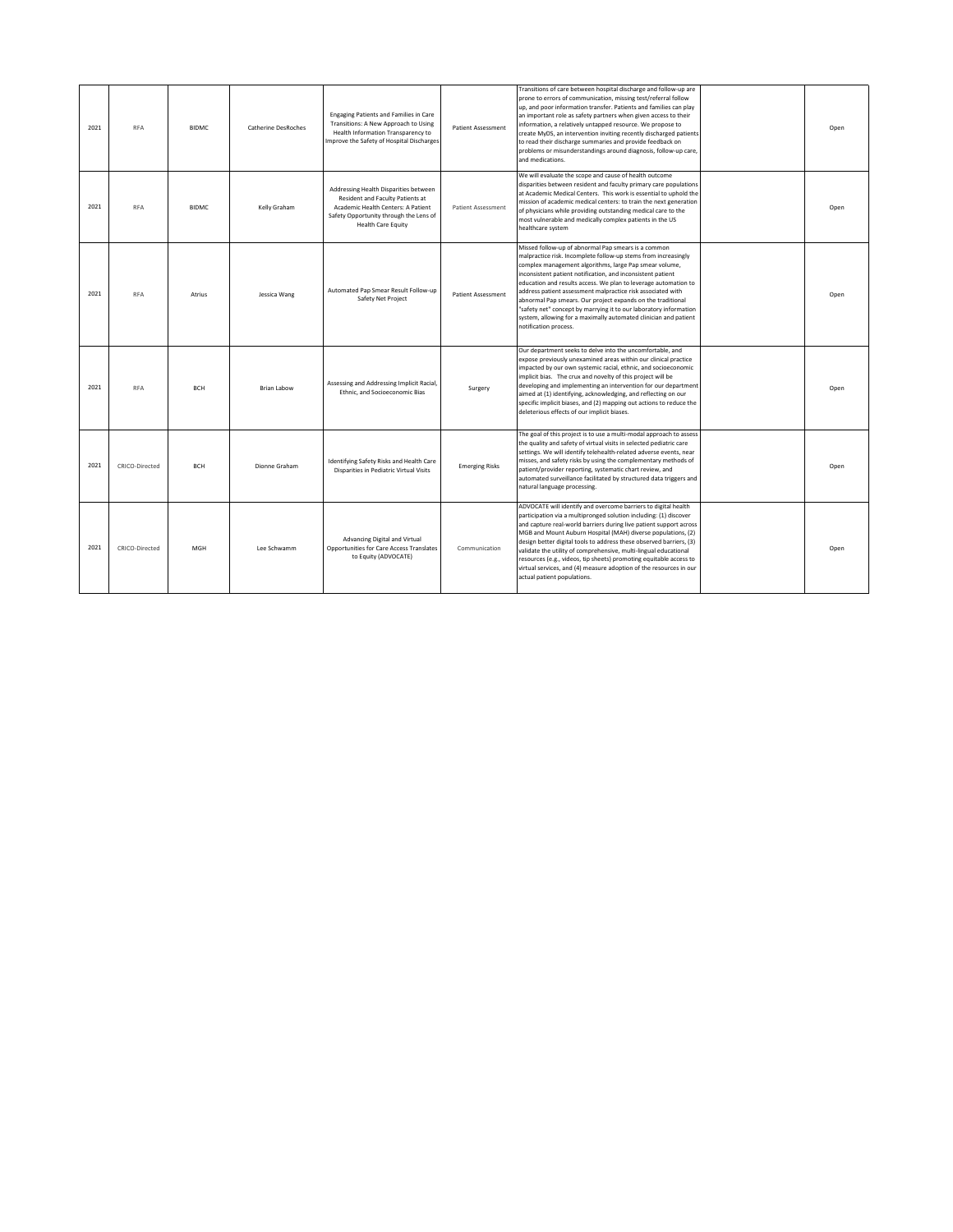| 2021 | <b>RFA</b>     | <b>BIDMC</b> | Catherine DesRoches | Engaging Patients and Families in Care<br>Transitions: A New Approach to Using<br>Health Information Transparency to<br>Improve the Safety of Hospital Discharges                      | <b>Patient Assessment</b> | Transitions of care between hospital discharge and follow-up are<br>prone to errors of communication, missing test/referral follow<br>up, and poor information transfer. Patients and families can play<br>an important role as safety partners when given access to their<br>information, a relatively untapped resource. We propose to<br>create MyDS, an intervention inviting recently discharged patients<br>to read their discharge summaries and provide feedback on<br>problems or misunderstandings around diagnosis, follow-up care,<br>and medications.                                                | Open |
|------|----------------|--------------|---------------------|----------------------------------------------------------------------------------------------------------------------------------------------------------------------------------------|---------------------------|-------------------------------------------------------------------------------------------------------------------------------------------------------------------------------------------------------------------------------------------------------------------------------------------------------------------------------------------------------------------------------------------------------------------------------------------------------------------------------------------------------------------------------------------------------------------------------------------------------------------|------|
| 2021 | <b>RFA</b>     | <b>BIDMC</b> | Kelly Graham        | Addressing Health Disparities between<br>Resident and Faculty Patients at<br>Academic Health Centers: A Patient<br>Safety Opportunity through the Lens of<br><b>Health Care Equity</b> | <b>Patient Assessment</b> | We will evaluate the scope and cause of health outcome<br>disparities between resident and faculty primary care populations<br>at Academic Medical Centers. This work is essential to uphold the<br>mission of academic medical centers: to train the next generation<br>of physicians while providing outstanding medical care to the<br>most vulnerable and medically complex patients in the US<br>healthcare system                                                                                                                                                                                           | Open |
| 2021 | <b>RFA</b>     | Atrius       | Jessica Wang        | Automated Pap Smear Result Follow-up<br>Safety Net Project                                                                                                                             | <b>Patient Assessment</b> | Missed follow-up of abnormal Pap smears is a common<br>malpractice risk. Incomplete follow-up stems from increasingly<br>complex management algorithms, large Pap smear volume,<br>inconsistent patient notification, and inconsistent patient<br>education and results access. We plan to leverage automation to<br>address patient assessment malpractice risk associated with<br>abnormal Pap smears. Our project expands on the traditional<br>"safety net" concept by marrying it to our laboratory information<br>system, allowing for a maximally automated clinician and patient<br>notification process. | Open |
| 2021 | <b>RFA</b>     | <b>BCH</b>   | <b>Brian Labow</b>  | Assessing and Addressing Implicit Racial,<br>Ethnic, and Socioeconomic Bias                                                                                                            | Surgery                   | Our department seeks to delve into the uncomfortable, and<br>expose previously unexamined areas within our clinical practice<br>impacted by our own systemic racial, ethnic, and socioeconomic<br>implicit bias. The crux and novelty of this project will be<br>developing and implementing an intervention for our department<br>aimed at (1) identifying, acknowledging, and reflecting on our<br>specific implicit biases, and (2) mapping out actions to reduce the<br>deleterious effects of our implicit biases.                                                                                           | Open |
| 2021 | CRICO-Directed | <b>BCH</b>   | Dionne Graham       | Identifying Safety Risks and Health Care<br>Disparities in Pediatric Virtual Visits                                                                                                    | <b>Emerging Risks</b>     | The goal of this project is to use a multi-modal approach to assess<br>the quality and safety of virtual visits in selected pediatric care<br>settings. We will identify telehealth-related adverse events, near<br>misses, and safety risks by using the complementary methods of<br>patient/provider reporting, systematic chart review, and<br>automated surveillance facilitated by structured data triggers and<br>natural language processing.                                                                                                                                                              | Open |
| 2021 | CRICO-Directed | MGH          | Lee Schwamm         | Advancing Digital and Virtual<br>Opportunities for Care Access Translates<br>to Equity (ADVOCATE)                                                                                      | Communication             | ADVOCATE will identify and overcome barriers to digital health<br>participation via a multipronged solution including: (1) discover<br>and capture real-world barriers during live patient support across<br>MGB and Mount Auburn Hospital (MAH) diverse populations, (2)<br>design better digital tools to address these observed barriers, (3)<br>validate the utility of comprehensive, multi-lingual educational<br>resources (e.g., videos, tip sheets) promoting equitable access to<br>virtual services, and (4) measure adoption of the resources in our<br>actual patient populations.                   | Open |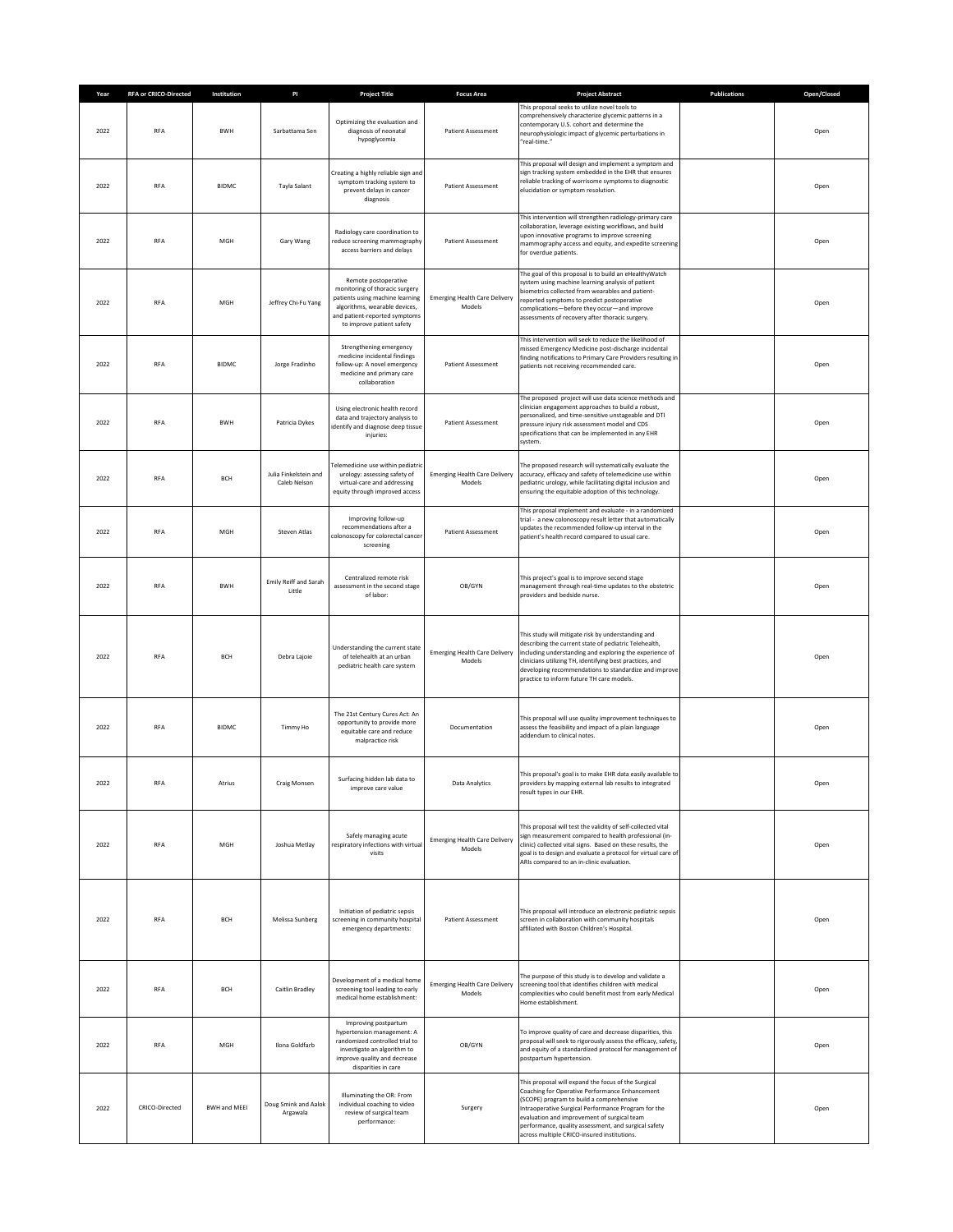| Year | <b>RFA or CRICO-Directed</b> | Institution  | PI                                    | <b>Project Title</b>                                                                                                                                                                     | <b>Focus Area</b>                              | <b>Project Abstract</b>                                                                                                                                                                                                                                                                                                                                        | <b>Publications</b> | Open/Closed |
|------|------------------------------|--------------|---------------------------------------|------------------------------------------------------------------------------------------------------------------------------------------------------------------------------------------|------------------------------------------------|----------------------------------------------------------------------------------------------------------------------------------------------------------------------------------------------------------------------------------------------------------------------------------------------------------------------------------------------------------------|---------------------|-------------|
| 2022 | <b>RFA</b>                   | BWH          | Sarbattama Sen                        | Optimizing the evaluation and<br>diagnosis of neonatal<br>hypoglycemia                                                                                                                   | Patient Assessment                             | This proposal seeks to utilize novel tools to<br>comprehensively characterize glycemic patterns in a<br>contemporary U.S. cohort and determine the<br>neurophysiologic impact of glycemic perturbations in<br>"real-time."                                                                                                                                     |                     | Open        |
| 2022 | RFA                          | <b>BIDMC</b> | Tayla Salant                          | Creating a highly reliable sign and<br>symptom tracking system to<br>prevent delays in cancer<br>diagnosis                                                                               | <b>Patient Assessment</b>                      | This proposal will design and implement a symptom and<br>sign tracking system embedded in the EHR that ensures<br>reliable tracking of worrisome symptoms to diagnostic<br>elucidation or symptom resolution.                                                                                                                                                  |                     | Open        |
| 2022 | <b>RFA</b>                   | MGH          | Gary Wang                             | Radiology care coordination to<br>educe screening mammography<br>access barriers and delays                                                                                              | Patient Assessment                             | This intervention will strengthen radiology-primary care<br>collaboration, leverage existing workflows, and build<br>upon innovative programs to improve screening<br>mammography access and equity, and expedite screening<br>for overdue patients.                                                                                                           |                     | Open        |
| 2022 | RFA                          | MGH          | Jeffrey Chi-Fu Yang                   | Remote postoperative<br>monitoring of thoracic surgery<br>patients using machine learning<br>algorithms, wearable devices,<br>and patient-reported symptoms<br>to improve patient safety | <b>Emerging Health Care Delivery</b><br>Models | The goal of this proposal is to build an eHealthyWatch<br>system using machine learning analysis of patient<br>biometrics collected from wearables and patient-<br>reported symptoms to predict postoperative<br>complications-before they occur-and improve<br>assessments of recovery after thoracic surgery.                                                |                     | Open        |
| 2022 | RFA                          | <b>BIDMC</b> | Jorge Fradinho                        | Strengthening emergency<br>medicine incidental findings<br>follow-up: A novel emergency<br>medicine and primary care<br>collaboration                                                    | Patient Assessment                             | This intervention will seek to reduce the likelihood of<br>missed Emergency Medicine post-discharge incidental<br>finding notifications to Primary Care Providers resulting in<br>patients not receiving recommended care.                                                                                                                                     |                     | Open        |
| 2022 | <b>RFA</b>                   | <b>BWH</b>   | Patricia Dykes                        | Using electronic health record<br>data and trajectory analysis to<br>identify and diagnose deep tissue<br>injuries:                                                                      | <b>Patient Assessment</b>                      | The proposed project will use data science methods and<br>clinician engagement approaches to build a robust,<br>personalized, and time-sensitive unstageable and DTI<br>pressure injury risk assessment model and CDS<br>specifications that can be implemented in any EHR<br>system.                                                                          |                     | Open        |
| 2022 | RFA                          | <b>BCH</b>   | Julia Finkelstein and<br>Caleb Nelson | elemedicine use within pediatri<br>urology: assessing safety of<br>virtual-care and addressing<br>equity through improved access                                                         | <b>Emerging Health Care Delivery</b><br>Models | The proposed research will systematically evaluate the<br>accuracy, efficacy and safety of telemedicine use within<br>pediatric urology, while facilitating digital inclusion and<br>ensuring the equitable adoption of this technology.                                                                                                                       |                     | Open        |
| 2022 | <b>RFA</b>                   | MGH          | Steven Atlas                          | Improving follow-up<br>recommendations after a<br>colonoscopy for colorectal cancer<br>screening                                                                                         | <b>Patient Assessment</b>                      | This proposal implement and evaluate - in a randomized<br>trial - a new colonoscopy result letter that automatically<br>updates the recommended follow-up interval in the<br>patient's health record compared to usual care.                                                                                                                                   |                     | Open        |
| 2022 | <b>RFA</b>                   | <b>BWH</b>   | Emily Reiff and Sarah<br>Little       | Centralized remote risk<br>assessment in the second stage<br>of labor:                                                                                                                   | OB/GYN                                         | This project's goal is to improve second stage<br>management through real-time updates to the obstetric<br>providers and bedside nurse.                                                                                                                                                                                                                        |                     | Open        |
| 2022 | <b>RFA</b>                   | <b>BCH</b>   | Debra Lajoie                          | Understanding the current state<br>of telehealth at an urban<br>pediatric health care system                                                                                             | <b>Emerging Health Care Delivery</b><br>Models | This study will mitigate risk by understanding and<br>describing the current state of pediatric Telehealth,<br>including understanding and exploring the experience of<br>clinicians utilizing TH, identifying best practices, and<br>developing recommendations to standardize and improve<br>practice to inform future TH care models.                       |                     | Open        |
| 2022 | RFA                          | <b>BIDMC</b> | Timmy Ho                              | The 21st Century Cures Act: An<br>opportunity to provide more<br>equitable care and reduce<br>malpractice risk                                                                           | Documentation                                  | This proposal will use quality improvement techniques to<br>assess the feasibility and impact of a plain language<br>addendum to clinical notes.                                                                                                                                                                                                               |                     | Open        |
| 2022 | RFA                          | Atrius       | <b>Craig Monsen</b>                   | Surfacing hidden lab data to<br>improve care value                                                                                                                                       | Data Analytics                                 | This proposal's goal is to make EHR data easily available to<br>providers by mapping external lab results to integrated<br>result types in our EHR.                                                                                                                                                                                                            |                     | Open        |
| 2022 | RFA                          | MGH          | Joshua Metlay                         | Safely managing acute<br>respiratory infections with virtual<br>visits                                                                                                                   | <b>Emerging Health Care Delivery</b><br>Models | This proposal will test the validity of self-collected vital<br>sign measurement compared to health professional (in-<br>clinic) collected vital signs. Based on these results, the<br>goal is to design and evaluate a protocol for virtual care of<br>ARIs compared to an in-clinic evaluation.                                                              |                     | Open        |
| 2022 | <b>RFA</b>                   | <b>BCH</b>   | Melissa Sunberg                       | Initiation of pediatric sepsis<br>screening in community hospital<br>emergency departments:                                                                                              | Patient Assessment                             | This proposal will introduce an electronic pediatric sepsis<br>screen in collaboration with community hospitals<br>affiliated with Boston Children's Hospital.                                                                                                                                                                                                 |                     | Open        |
| 2022 | <b>RFA</b>                   | <b>BCH</b>   | Caitlin Bradley                       | Development of a medical home<br>screening tool leading to early<br>medical home establishment:                                                                                          | <b>Emerging Health Care Delivery</b><br>Models | The purpose of this study is to develop and validate a<br>screening tool that identifies children with medical<br>complexities who could benefit most from early Medical<br>Home establishment.                                                                                                                                                                |                     | Open        |
| 2022 | <b>RFA</b>                   | MGH          | Ilona Goldfarb                        | Improving postpartum<br>hypertension management: A<br>randomized controlled trial to<br>investigate an algorithm to<br>improve quality and decrease<br>disparities in care               | OB/GYN                                         | To improve quality of care and decrease disparities, this<br>proposal will seek to rigorously assess the efficacy, safety,<br>and equity of a standardized protocol for management of<br>postpartum hypertension.                                                                                                                                              |                     | Open        |
| 2022 | CRICO-Directed               | BWH and MEEI | Doug Smink and Aalok<br>Argawala      | Illuminating the OR: From<br>individual coaching to video<br>review of surgical team<br>performance:                                                                                     | Surgery                                        | This proposal will expand the focus of the Surgical<br>Coaching for Operative Performance Enhancement<br>(SCOPE) program to build a comprehensive<br>Intraoperative Surgical Performance Program for the<br>evaluation and improvement of surgical team<br>performance, quality assessment, and surgical safety<br>across multiple CRICO-insured institutions. |                     | Open        |